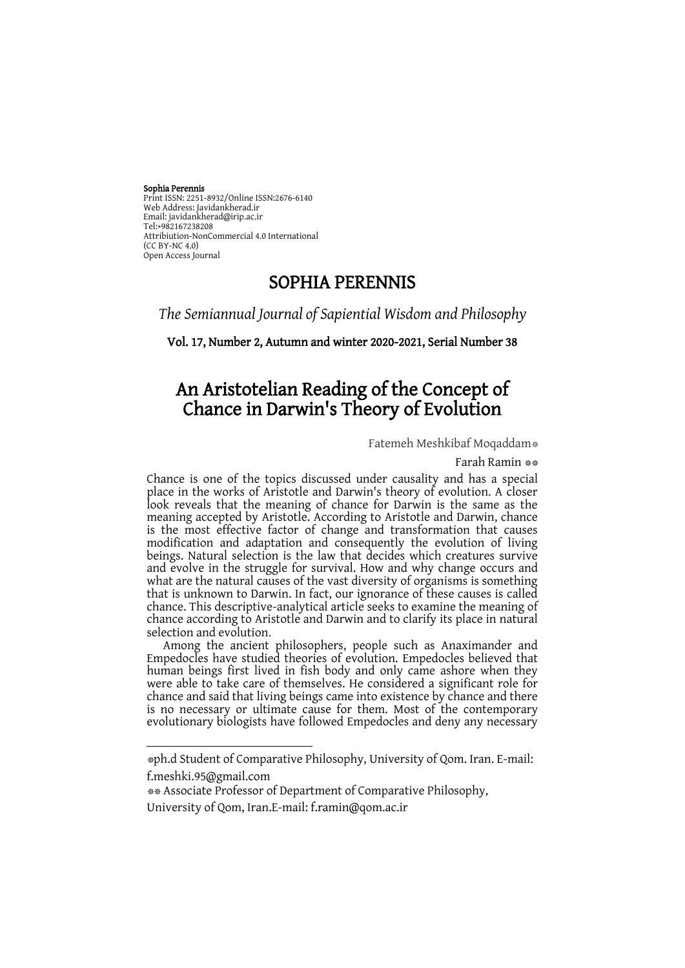#### Sophia Perennis Print ISSN: 2251-8932/Online ISSN:2676-6140 Web Address: Javidankherad.ir Email[: javidankherad@irip.ac.ir](mailto:javidankherad@irip.ac.ir) [Tel:+982167238208](tel:+982167238208) Attribiution-NonCommercial 4.0 International (CC BY-NC 4.0) Open Access Journal

## SOPHIA PERENNIS

*The Semiannual Journal of Sapiential Wisdom and Philosophy*

#### Vol. 17, Number 2, Autumn and winter 2020-2021, Serial Number 38

# An Aristotelian Reading of the Concept of Chance in Darwin's Theory of Evolution

Fatemeh Meshkibaf Moqaddam\*

Farah Ramin \*\*

Chance is one of the topics discussed under causality and has a special place in the works of Aristotle and Darwin's theory of evolution. A closer look reveals that the meaning of chance for Darwin is the same as the meaning accepted by Aristotle. According to Aristotle and Darwin, chance is the most effective factor of change and transformation that causes modification and adaptation and consequently the evolution of living beings. Natural selection is the law that decides which creatures survive and evolve in the struggle for survival. How and why change occurs and what are the natural causes of the vast diversity of organisms is something that is unknown to Darwin. In fact, our ignorance of these causes is called chance. This descriptive-analytical article seeks to examine the meaning of chance according to Aristotle and Darwin and to clarify its place in natural selection and evolution.

Among the ancient philosophers, people such as Anaximander and Empedocles have studied theories of evolution. Empedocles believed that human beings first lived in fish body and only came ashore when they were able to take care of themselves. He considered a significant role for chance and said that living beings came into existence by chance and there is no necessary or ultimate cause for them. Most of the contemporary evolutionary biologists have followed Empedocles and deny any necessary

**.** 

<sup>\*</sup>ph.d Student of Comparative Philosophy, University of Qom. Iran. E-mail: [f.meshki.95@gmail.com](mailto:f.meshki.95@gmail.com) 

<sup>\*\*</sup> Associate Professor of Department of Comparative Philosophy,

University of Qom, Iran.E-mail: f.ramin@qom.ac.ir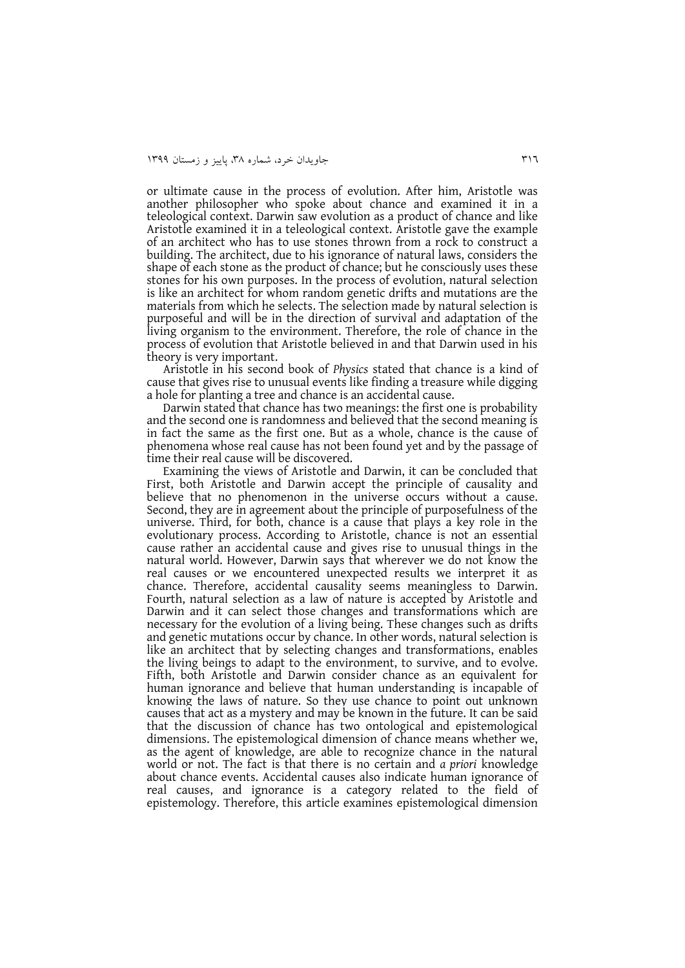or ultimate cause in the process of evolution. After him, Aristotle was another philosopher who spoke about chance and examined it in a teleological context. Darwin saw evolution as a product of chance and like Aristotle examined it in a teleological context. Aristotle gave the example of an architect who has to use stones thrown from a rock to construct a building. The architect, due to his ignorance of natural laws, considers the shape of each stone as the product of chance; but he consciously uses these stones for his own purposes. In the process of evolution, natural selection is like an architect for whom random genetic drifts and mutations are the materials from which he selects. The selection made by natural selection is purposeful and will be in the direction of survival and adaptation of the living organism to the environment. Therefore, the role of chance in the process of evolution that Aristotle believed in and that Darwin used in his theory is very important.

Aristotle in his second book of *Physics* stated that chance is a kind of cause that gives rise to unusual events like finding a treasure while digging a hole for planting a tree and chance is an accidental cause.

Darwin stated that chance has two meanings: the first one is probability and the second one is randomness and believed that the second meaning is in fact the same as the first one. But as a whole, chance is the cause of phenomena whose real cause has not been found yet and by the passage of time their real cause will be discovered.

Examining the views of Aristotle and Darwin, it can be concluded that First, both Aristotle and Darwin accept the principle of causality and believe that no phenomenon in the universe occurs without a cause. Second, they are in agreement about the principle of purposefulness of the universe. Third, for both, chance is a cause that plays a key role in the evolutionary process. According to Aristotle, chance is not an essential cause rather an accidental cause and gives rise to unusual things in the natural world. However, Darwin says that wherever we do not know the real causes or we encountered unexpected results we interpret it as chance. Therefore, accidental causality seems meaningless to Darwin. Fourth, natural selection as a law of nature is accepted by Aristotle and Darwin and it can select those changes and transformations which are necessary for the evolution of a living being. These changes such as drifts and genetic mutations occur by chance. In other words, natural selection is like an architect that by selecting changes and transformations, enables the living beings to adapt to the environment, to survive, and to evolve. Fifth, both Aristotle and Darwin consider chance as an equivalent for human ignorance and believe that human understanding is incapable of knowing the laws of nature. So they use chance to point out unknown causes that act as a mystery and may be known in the future. It can be said that the discussion of chance has two ontological and epistemological dimensions. The epistemological dimension of chance means whether we, as the agent of knowledge, are able to recognize chance in the natural world or not. The fact is that there is no certain and *a priori* knowledge about chance events. Accidental causes also indicate human ignorance of real causes, and ignorance is a category related to the field of epistemology. Therefore, this article examines epistemological dimension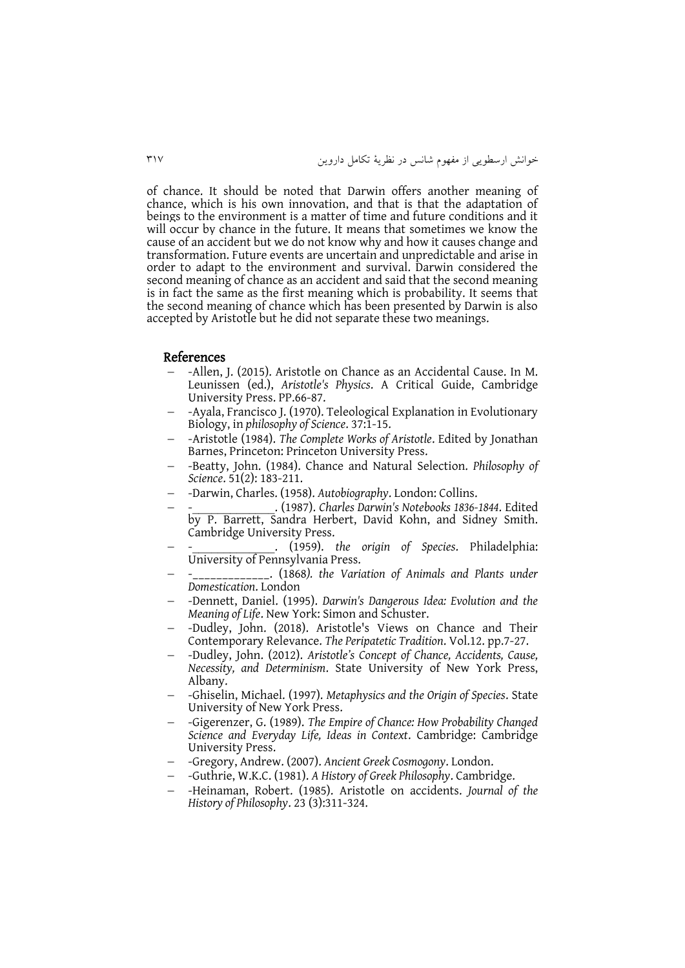of chance. It should be noted that Darwin offers another meaning of chance, which is his own innovation, and that is that the adaptation of beings to the environment is a matter of time and future conditions and it will occur by chance in the future. It means that sometimes we know the cause of an accident but we do not know why and how it causes change and transformation. Future events are uncertain and unpredictable and arise in order to adapt to the environment and survival. Darwin considered the second meaning of chance as an accident and said that the second meaning is in fact the same as the first meaning which is probability. It seems that the second meaning of chance which has been presented by Darwin is also accepted by Aristotle but he did not separate these two meanings.

#### References

- -Allen, J. (2015). Aristotle on Chance as an Accidental Cause. In M. Leunissen (ed.), *Aristotle's Physics*. A Critical Guide, Cambridge University Press. PP.66-87.
- -Ayala, Francisco J. (1970). Teleological Explanation in Evolutionary Biology, in *philosophy of Science*. 37:1-15.
- -Aristotle (1984). *The Complete Works of Aristotle*. Edited by Jonathan Barnes, Princeton: Princeton University Press.
- -Beatty, John. (1984). Chance and Natural Selection. *Philosophy of Science*. 51(2): 183-211.
- -Darwin, Charles. (1958). *Autobiography*. London: Collins.
- -\_\_\_\_\_\_\_\_\_\_\_\_\_. (1987). *Charles Darwin's Notebooks 1836-1844*. Edited by P. Barrett, Sandra Herbert, David Kohn, and Sidney Smith. Cambridge University Press.
- -\_\_\_\_\_\_\_\_\_\_\_\_\_. (1959). *the origin of Species*. Philadelphia: University of Pennsylvania Press.
- -\_\_\_\_\_\_\_\_\_\_\_\_\_. (1868*). the Variation of Animals and Plants under Domestication*. London
- -Dennett, Daniel. (1995). *Darwin's Dangerous Idea: Evolution and the Meaning of Life*. New York: Simon and Schuster.
- -Dudley, John. (2018). Aristotle's Views on Chance and Their Contemporary Relevance. *The Peripatetic Tradition*. Vol.12. pp.7-27.
- -Dudley, John. (2012). *Aristotle's Concept of Chance, Accidents, Cause, Necessity, and Determinism*. State University of New York Press, Albany.
- -Ghiselin, Michael. (1997). *Metaphysics and the Origin of Species*. State University of New York Press.
- -Gigerenzer, G. (1989). *The Empire of Chance: How Probability Changed Science and Everyday Life, Ideas in Context*. Cambridge: Cambridge University Press.
- -Gregory, Andrew. (2007). *Ancient Greek Cosmogony*. London.
- -Guthrie, W.K.C. (1981). *A History of Greek Philosophy*. Cambridge.
- -Heinaman, [Robert. \(1985\). Aristotle on accidents.](https://philpapers.org/s/Robert%20Heinaman) *[Journal of the](https://philpapers.org/s/Robert%20Heinaman)  [History of Philosophy](https://philpapers.org/s/Robert%20Heinaman)*. 23 (3):311-324.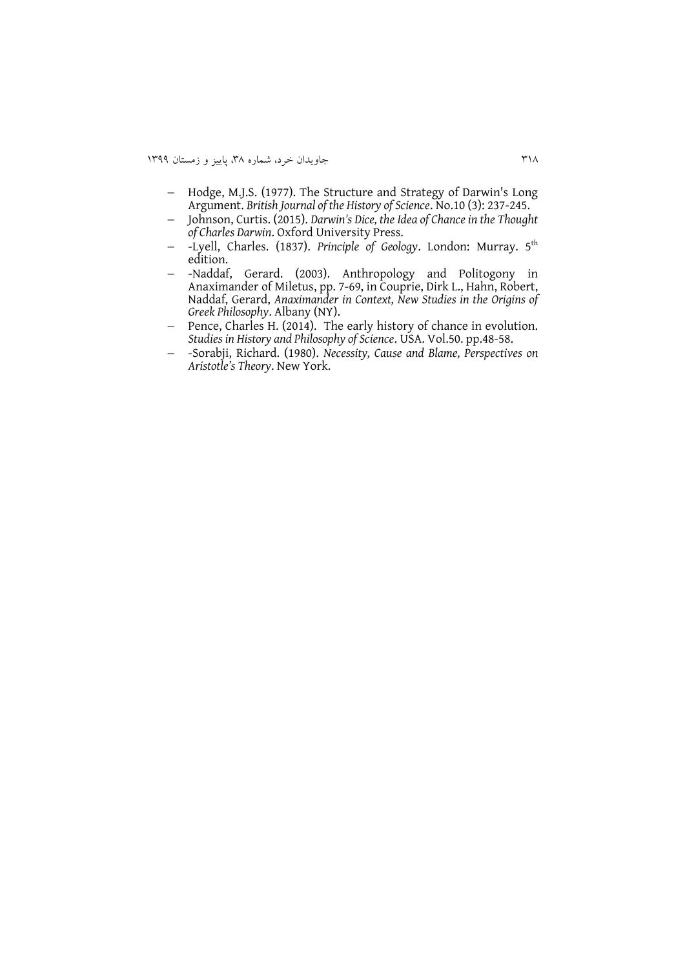- Hodge, M.J.S. (1977). The Structure and Strategy of Darwin's Long Argument. *British Journal of the History of Science*. No.10 (3): 237-245.
- Johnson, Curtis. (2015). *Darwin's Dice, the Idea of Chance in the Thought of Charles Darwin*. Oxford University Press.
- -Lyell, Charles. (1837). *Principle of Geology*. London: Murray. 5th edition.
- -Naddaf, Gerard. (2003). Anthropology and Politogony in Anaximander of Miletus, pp. 7-69, in Couprie, Dirk L., Hahn, Robert, Naddaf, Gerard, *Anaximander in Context, New Studies in the Origins of Greek Philosophy*. Albany (NY).
- Pence, Charles H. (2014). The early history of chance in evolution. *Studies in History and Philosophy of Science*. USA. Vol.50. pp.48-58.
- -Sorabji, Richard. (1980). *Necessity, Cause and Blame, Perspectives on Aristotle's Theory*. New York.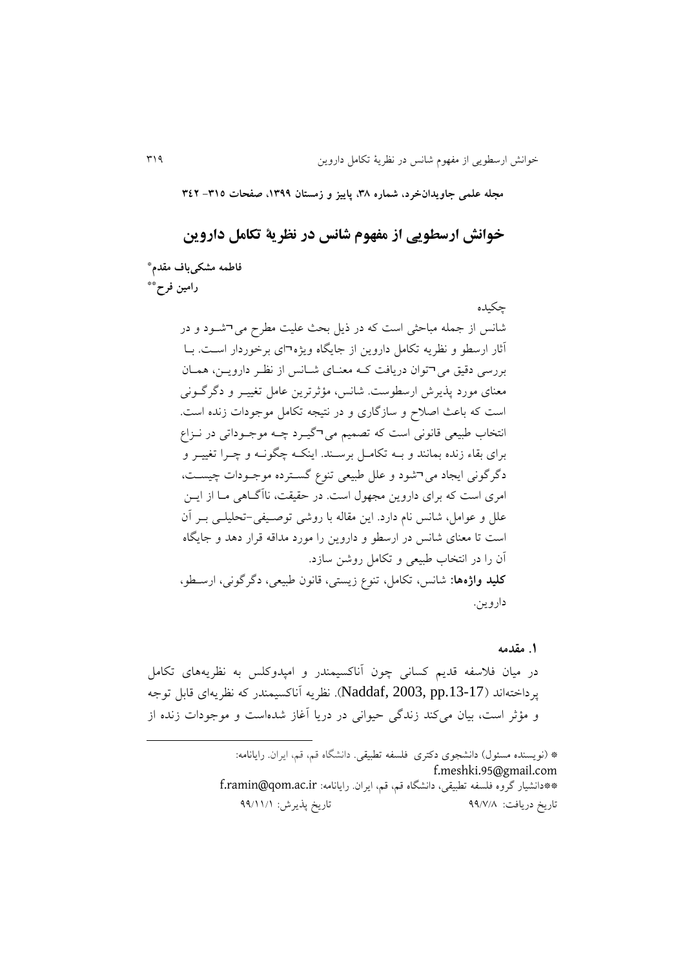**مجله علمی جاویدانخرد، شماره ،83 پاییز و زمستان ،9811 صفحات -893 843**

**خوانش ارسطویی از مفهوم شانس در نظریة تکامل داروین**

**\* فاطمه مشکیباف مقدم \*\* رامین فرح**

> چکیده شانس از جمله مباحثی است که در ذيل بحث علیت مطرح می¬شوود و در آثار ارسطو و نظريه تکامل داروين از جايگاه ويژه¬ای برخوردار اسوت . بوا بررسی دقیق می¬توان دريافت کوه معنوای شوانس از نظور دارويون، هموان معنای مورد پذيرش ارسطوست. شانس، مؤثرترين عامل تغییـر و دگرگــونی است که باعث اصالح و سازراری و در نتیجه تکامل موجودات زنده است. انتخاب طبیعی قانونی است که تصمیم می¬گیرد چـه موجـوداتی در نـزاع برای بقاء زنده بمانند و بــه تکامــل برســند. اينکــه چگونــه و چــرا تغییــر و دگرگونی ايجاد می¬شود و علل طبیعی تنوع گسـترده موجـودات چیسـت، امری است که برای داروین مجهول است. در حقیقت، ناآگـاهی مـا از ايـن علل و عوامل، شانس نام دارد. اين مقاله با روشی توصویفی -تحلیلوی بور آن است تا معنای شانس در ارسطو و داروين را مورد مداقه قرار دهد و جايگاه آن را در انتخاب طبیعی و تکامل روشن سازد. <mark>کلید واژهها:</mark> شانس، تکامل، تنوع زیستی، قانون طبیعی، دگرگونی، ارسـطو، داروين.

#### **.1 مقدمه**

در میان فالسفه قديم کسانی چون آناکسیمندر و امپدوکلس به نظريههای تکامل پرداختهاند ).13-17pp 2003, ,Naddaf). نظريه آناکسیمندر که نظريهای قابل توجه و مؤثر است، بیان میکند زندگی حیوانی در دریا آغاز شدهاست و موجودات زنده از

> \* (نويسنده مسئول) دانشجوی دکتری فلسفه تطبیقی. دانشگاه قم، قم، ايران. رايانامه: [f.meshki.95@gmail.com](mailto:f.meshki.95@gmail.com) \*\*دانشیار رروه فلسفه تطبیقی، دانشگاه قم، قم، ايران. رايانامه: ir.ac.qom@ramin.f تاريخ دريافت: 11/3/3 تاريخ پذيرش: 11/11/1

**.**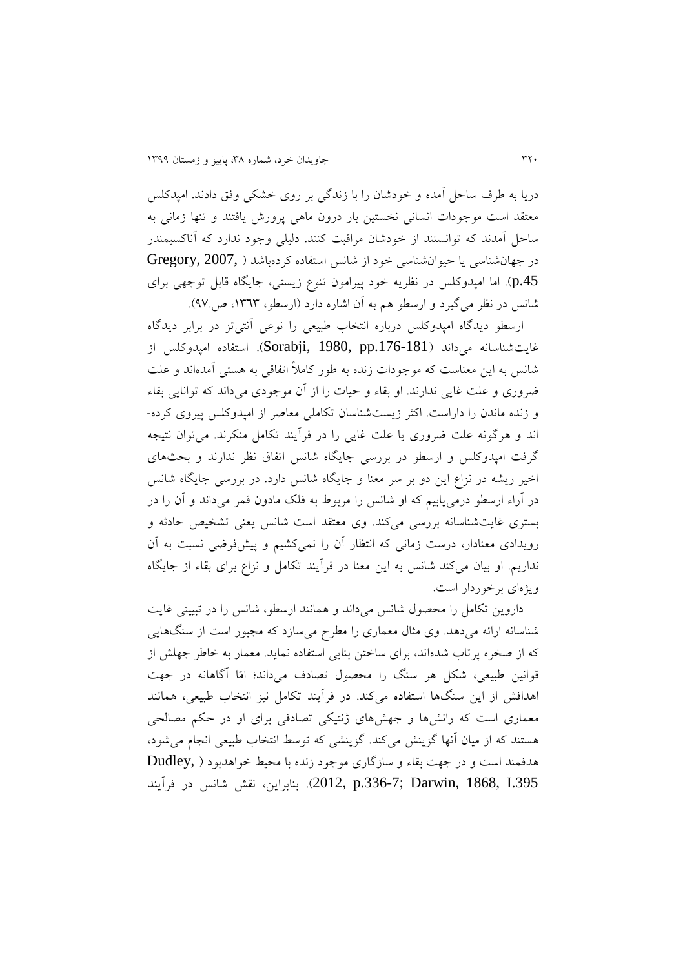دريا به طرف ساحل آمده و خودشان را با زندری بر روی خشکی وفق دادند. امپدکلس معتقد است موجودات انسانی نخستین بار درون ماهی پرورش يافتند و تنها زمانی به ساحل آمدند که توانستند از خودشان مراقبت کنند. دلیلی وجود ندارد که آناکسیمندر در جهانشناسی يا حیوانشناسی خود از شانس استفاده کردهباشد ( ,Gregory, 2007 .45p). اما امپدوکلس در نظريه خود پیرامون تنو زيستی، جايگاه قابل توجهی برای شانس در نظر میگیرد و ارسطو هم به آن اشاره دارد (ارسطو، ۱۳٦۳، ص۹۷).

ارسطو ديدگاه امپدوکلس درباره انتخاب طبيعی را نوعی آنتیتز در برابر ديدگاه غايتشناسانه میداند (Sorabji, 1980, pp.176-181). استفاده امپدوکلس از شانس به اين معناست که موجودات زنده به طور کامالً اتفاقی به هستی آمدهاند و علت ضروری و علت غايی ندارند. او بقاء و حیات را از آن موجودی میداند که توانايی بقاء و زنده ماندن را داراست. اکثر زيستشناسان تکاملی معاصر از امپدوکلس پیروی کرده- اند و هرگونه علت ضروری يا علت غايی را در فرآيند تکامل منکرند. می توان نتيجه گرفت امپدوکلس و ارسطو در بررسی جايگاه شانس اتفاق نظر ندارند و بحثهای اخیر ریشه در نزاع این دو بر سر معنا و جایگاه شانس دارد. در بررسی جایگاه شانس در آراء ارسطو درمیيابیم که او شانس را مربوط به فلک مادون قمر میداند و آن را در بستری غايتشناسانه بررسی میکند. وی معتقد است شانس يعنی تشخیص حادثه و رويدادی معنادار، درست زمانی که انتظار آن را نمیکشیم و پیشفرضی نسبت به آن نداريم. او بيان میکند شانس به اين معنا در فرآيند تکامل و نزاع برای بقاء از جايگاه ويژهای برخوردار است.

داروين تکامل را محصول شانس میداند و همانند ارسطو، شانس را در تبیینی غايت شناسانه ارائه میدهد. وی مثال معماری را مطرح میسازد که مجبور است از سنگهايی که از صخره پرتاب شدهاند، برای ساختن بنايی استفاده نمايد. معمار به خاطر جهلش از قوانین طبیعی، شکل هر سنگ را محصول تصادف میداند؛ امّا آراهانه در جهت اهدافش از اين سنگها استفاده میکند. در فرآيند تکامل نیز انتخاب طبیعی، همانند معماری است که رانشها و جهشهای ژنتیکی تصادفی برای او در حکم مصالحی هستند که از میان آنها گزينش میکند. گزينشی که توسط انتخاب طبیعی انجام می شود، هدفمند است و در جهت بقاء و سازراری موجود زنده با محیط خواهدبود ) ,Dudley .395I 1868, ,Darwin; .336-7p 2012,). بنابراين، نقش شانس در فرآيند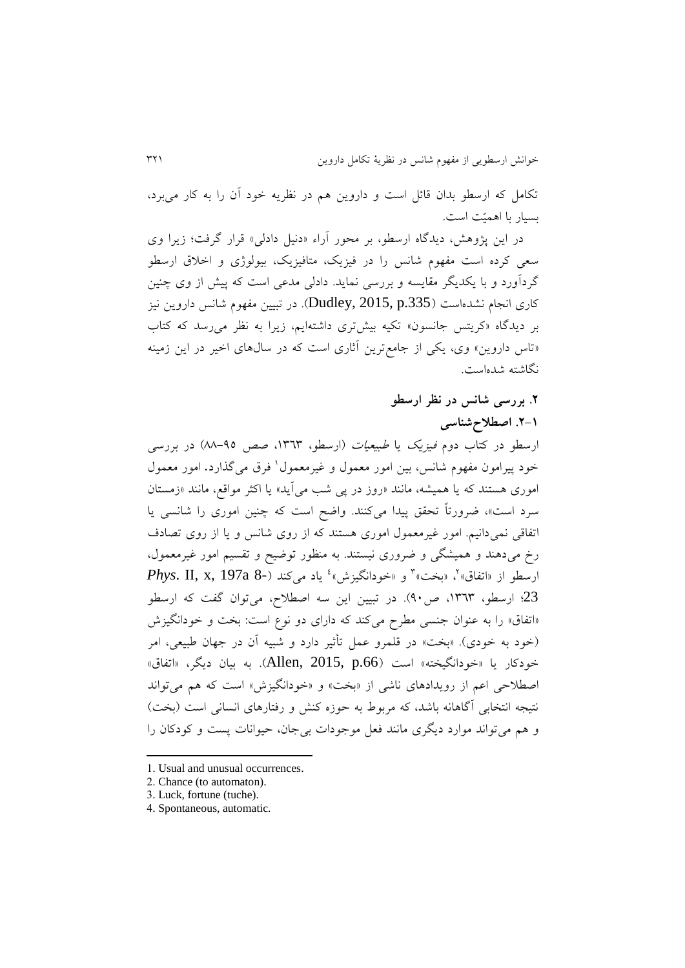تکامل که ارسطو بدان قائل است و داروين هم در نظريه خود آن را به کار میبرد، بسیار با اهمیّت است.

در اين پژوهش، ديدگاه ارسطو، بر محور آراء «دنيل دادلی» قرار گرفت؛ زيرا وی سعی کرده است مفهوم شانس را در فیزيک، متافیزيک، بیولوژی و اخالق ارسطو گردآورد و با يکديگر مقايسه و بررسی نمايد. دادلی مدعی است که پیش از وی چنین کاری انجام نشدهاست (Dudley, 2015, p.335). در تبیین مفهوم شانس داروین نیز بر ديدگاه «کريتس جانسون» تکيه بيشتری داشتهايم، زيرا به نظر می رسد که کتاب «تاس داروين» وی، يکی از جامع ترين آثاری است که در سال های اخير در اين زمينه نگاشته شدهاست.

### **.3 بررسی شانس در نظر ارسطو**

### **.3-9 اصطالحشناسی**

ارسطو در کتاب دوم *فيزيک* يا *طبيعيات (ارسطو، ١٣٦*٣، صص ٩٥-٨٨) در بررسي خود پیرامون مفهوم شانس، بین امور معمول و غیرمعمول<sup>۱</sup> فرق میگذارد. امور معمول اموری هستند که يا همیشه، مانند »روز در پی شب میآيد« يا اکثر مواقع، مانند »زمستان سرد است»، ضرورتاً تحقق پیدا میکنند. واضح است که چنین اموری را شانسی یا اتفاقی نمیدانیم. امور غیرمعمول اموری هستند که از روی شانس و يا از روی تصادف رخ میدهند و همیشگی و ضروری نیستند. به منظور توضیح و تقسیم امور غیرمعمول، ارسطو از «اتفاق»<sup>۲</sup>، «بخت»<sup>۳</sup> و «خودانگیزش»<sup>، ب</sup>یاد میکند (-Phys. II, x, 197a 8 23؛ ارسطو، ١٣٦٣، ص٩٠). در تبيين اين سه اصطلاح، میتوان گفت که ارسطو «اتفاق» را به عنوان جنسی مطرح میکند که دارای دو نوع است: بخت و خودانگیزش (خود به خودی). «بخت» در قلمرو عمل تأثیر دارد و شبیه آن در جهان طبیعی، امر خودکار يا »خودانگیخته« است ).66p 2015, ,Allen). به بیان ديگر، »اتفاق« اصطالحی اعم از رويدادهای ناشی از »بخت« و »خودانگیزش« است که هم میتواند نتیجه انتخابی آگاهانه باشد، که مربوط به حوزه کنش و رفتارهای انسانی است (بخت) و هم میتواند موارد ديگری مانند فعل موجودات بیجان، حیوانات پست و کودکان را

- 1. Usual and unusual occurrences.
- 2. Chance (to automaton).
- 3. Luck, fortune (tuche).

1

4. Spontaneous, automatic.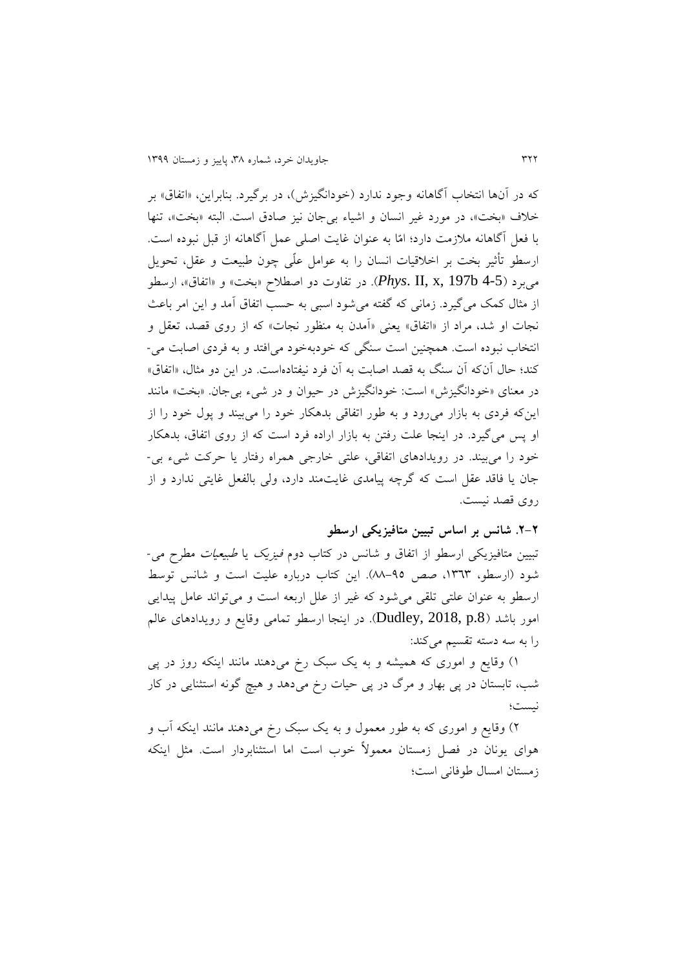که در آنها انتخاب آگاهانه وجود ندارد (خودانگیزش)، در برگیرد. بنابراین، «اتفاق» بر خلاف «بخت»، در مورد غیر انسان و اشیاء بی جان نیز صادق است. البته «بخت»، تنها با فعل آراهانه مالزمت دارد؛ امّا به عنوان غايت اصلی عمل آراهانه از قبل نبوده است. ارسطو تأثیر بخت بر اخالقیات انسان را به عوامل علّی چون طبیعت و عقل، تحويل میبرد )4-5 b197 ,x ,II .*Phys*). در تفاوت دو اصطالح »بخت« و »اتفاق«، ارسطو از مثال کمک می گیرد. زمانی که گفته می شود اسبی به حسب اتفاق آمد و این امر باعث نجات او شد، مراد از »اتفاق« يعنی »آمدن به منظور نجات« که از روی قصد، تعقل و انتخاب نبوده است. همچنین است سنگی که خودبهخود میافتد و به فردی اصابت می- کند؛ حال آنکه آن سنگ به قصد اصابت به آن فرد نیفتادهاست. در اين دو مثال، »اتفاق« در معنای «خودانگیزش» است: خودانگیزش در حیوان و در شیء بی جان. «بخت» مانند اينکه فردی به بازار میرود و به طور اتفاقی بدهکار خود را میبیند و پول خود را از او پس میریرد. در اينجا علت رفتن به بازار اراده فرد است که از روی اتفاق، بدهکار خود را میبیند. در رويدادهای اتفاقی، علتی خارجی همراه رفتار يا حرکت شیء بی- جان يا فاقد عقل است که گرچه پيامدی غايتمند دارد، ولی بالفعل غايتی ندارد و از روی قصد نیست.

**.3-3 شانس بر اساس تبیین متافیزیکی ارسطو**

تبیین متافیزيکی ارسطو از اتفاق و شانس در کتاب دوم فیزيک يا طبیعیات مطرح می- شود (ارسطو، ۱۳٦۳، صص ۹۵-۸۸). این کتاب درباره علیت است و شانس توسط ارسطو به عنوان علتی تلقی میشود که غیر از علل اربعه است و میتواند عامل پیدايی امور باشد ).8p 2018, ,Dudley). در اينجا ارسطو تمامی وقايع و رويدادهای عالم را به سه دسته تقسیم میکند:

1( وقايع و اموری که همیشه و به يک سبک رخ میدهند مانند اينکه روز در پی شب، تابستان در پی بهار و مرگ در پی حیات رخ میدهد و هیچ گونه استثنایی در کار نیست؛

2( وقايع و اموری که به طور معمول و به يک سبک رخ میدهند مانند اينکه آب و هوای يونان در فصل زمستان معموالً خوب است اما استثنابردار است. مثل اينکه زمستان امسال طوفانی است؛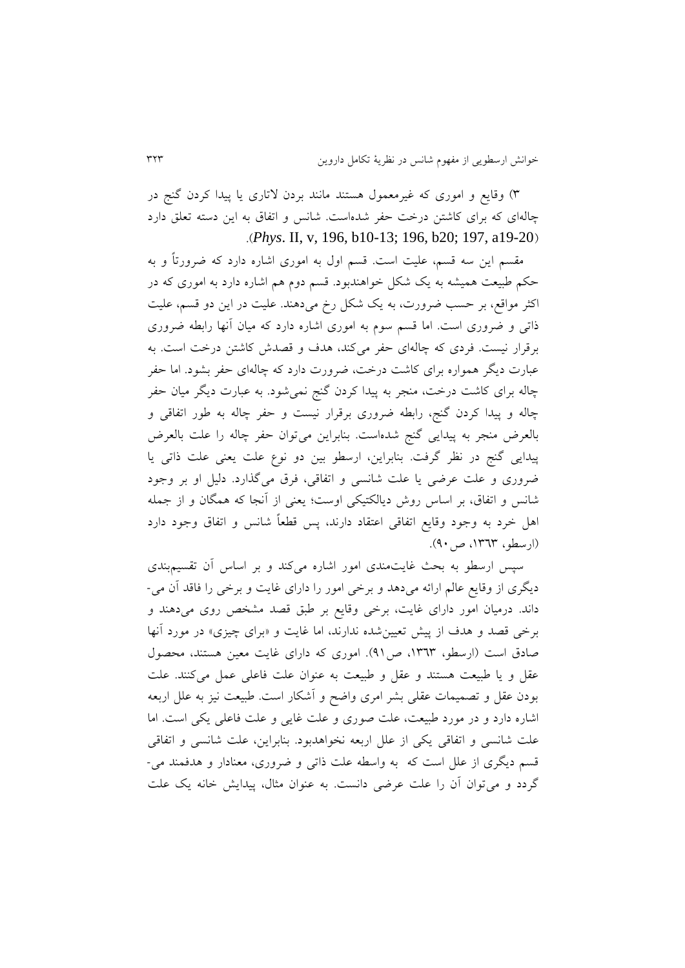6( وقايع و اموری که غیرمعمول هستند مانند بردن التاری يا پیدا کردن رنج در چالهای که برای کاشتن درخت حفر شدهاست. شانس و اتفاق به اين دسته تعلق دارد .)*Phys*. II, v, 196, b10-13; 196, b20; 197, a19-20(

مقسم اين سه قسم، علیت است. قسم اول به اموری اشاره دارد که ضرورتاً و به حکم طبیعت همیشه به يک شکل خواهندبود. قسم دوم هم اشاره دارد به اموری که در اکثر مواقع، بر حسب ضرورت، به يک شکل رخ میدهند. علیت در اين دو قسم، علیت ذاتی و ضروری است. اما قسم سوم به اموری اشاره دارد که میان آنها رابطه ضروری برقرار نیست. فردی که چالهای حفر میکند، هدف و قصدش کاشتن درخت است. به عبارت ديگر همواره برای کاشت درخت، ضرورت دارد که چالهای حفر بشود. اما حفر چاله برای کاشت درخت، منجر به پیدا کردن رنج نمیشود. به عبارت ديگر میان حفر چاله و پیدا کردن گنج، رابطه ضروری برقرار نیست و حفر چاله به طور اتفاقی و بالعرض منجر به پيدايی گنج شدهاست. بنابراين میتوان حفر چاله را علت بالعرض پیدايی گنج در نظر گرفت. بنابراين، ارسطو بين دو نوع علت يعنی علت ذاتی يا ضروری و علت عرضی يا علت شانسی و اتفاقی، فرق میرذارد. دلیل او بر وجود شانس و اتفاق، بر اساس روش ديالکتیکی اوست؛ يعنی از آنجا که همگان و از جمله اهل خرد به وجود وقايع اتفاقی اعتقاد دارند، پس قطعاً شانس و اتفاق وجود دارد (ارسطو، ١٣٦٣، ص ٩٠).

سپس ارسطو به بحث غايتمندی امور اشاره میکند و بر اساس آن تقسیمبندی ديگری از وقايع عالم ارائه میدهد و برخی امور را دارای غايت و برخی را فاقد آن می- داند. درمیان امور دارای غايت، برخی وقايع بر طبق قصد مشخص روی میدهند و برخی قصد و هدف از پیش تعیینشده ندارند، اما غايت و »برای چیزی« در مورد آنها صادق است (ارسطو، ١٣٦٣، ص٩١). اموری که دارای غايت معين هستند، محصول عقل و يا طبیعت هستند و عقل و طبیعت به عنوان علت فاعلی عمل میکنند. علت بودن عقل و تصمیمات عقلی بشر امری واضح و آشکار است. طبیعت نیز به علل اربعه اشاره دارد و در مورد طبیعت، علت صوری و علت غايی و علت فاعلی يکی است. اما علت شانسی و اتفاقی يکی از علل اربعه نخواهدبود. بنابراين، علت شانسی و اتفاقی قسم ديگری از علل است که به واسطه علت ذاتی و ضروری، معنادار و هدفمند می- گردد و می توان آن را علت عرضی دانست. به عنوان مثال، پیدایش خانه یک علت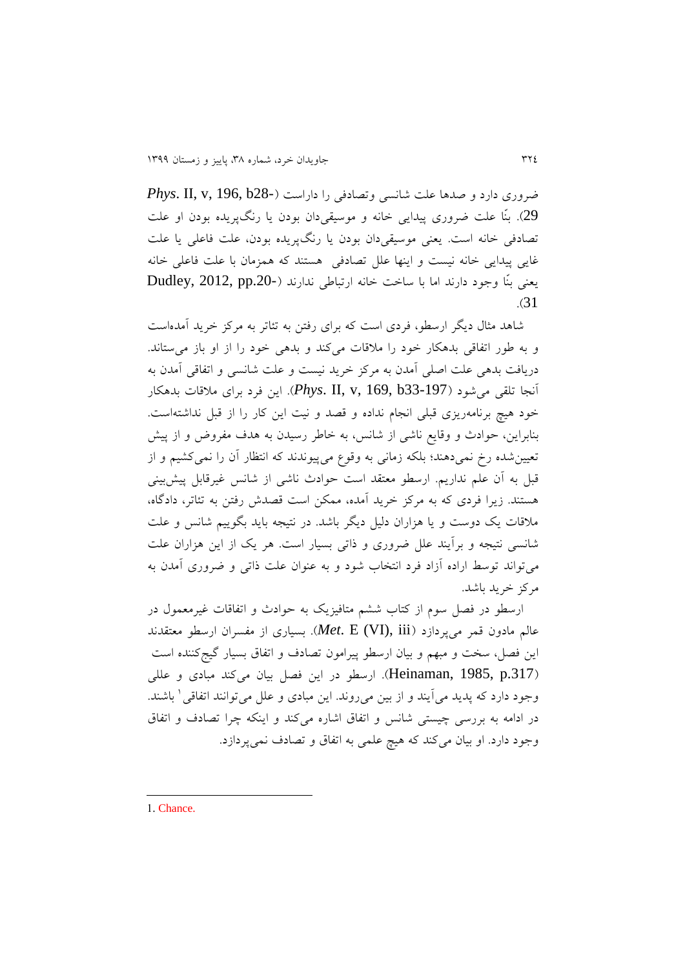ضروری دارد و صدها علت شانسی وتصادفی را داراست )28-b 196, ,v ,II .*Phys* 29(. بنّا علت ضروری پیدايی خانه و موسیقیدان بودن يا رنگپريده بودن او علت تصادفی خانه است. يعنی موسیقیدان بودن يا رنگپريده بودن، علت فاعلی يا علت غايی پیدايی خانه نیست و اينها علل تصادفی هستند که همزمان با علت فاعلی خانه يعنی بنّا وجود دارند اما با ساخت خانه ارتباطی ندارند (-Dudley, 2012, pp.20 .)31

شاهد مثال ديگر ارسطو، فردی است که برای رفتن به تئاتر به مرکز خريد آمدهاست و به طور اتفاقی بدهکار خود را مالقات میکند و بدهی خود را از او باز میستاند. دريافت بدهی علت اصلی آمدن به مرکز خريد نیست و علت شانسی و اتفاقی آمدن به آنجا تلقی میشود )33-197b 169, ,v ,II .*Phys*). اين فرد برای مالقات بدهکار خود هیچ برنامهريزی قبلی انجام نداده و قصد و نیت اين کار را از قبل نداشتهاست. بنابراين، حوادث و وقايع ناشی از شانس، به خاطر رسیدن به هدف مفروض و از پیش تعیینشده رخ نمیدهند؛ بلکه زمانی به وقو میپیوندند که انتظار آن را نمیکشیم و از قبل به آن علم نداريم. ارسطو معتقد است حوادث ناشی از شانس غیرقابل پیشبینی هستند. زيرا فردي كه به مركز خريد آمده، ممكن است قصدش رفتن به تئاتر، دادگاه، مالقات يک دوست و يا هزاران دلیل ديگر باشد. در نتیجه بايد بگويیم شانس و علت شانسی نتیجه و برآيند علل ضروری و ذاتی بسیار است. هر يک از اين هزاران علت میتواند توسط اراده آزاد فرد انتخاب شود و به عنوان علت ذاتی و ضروری آمدن به مرکز خريد باشد.

ارسطو در فصل سوم از کتاب ششم متافیزيک به حوادث و اتفاقات غیرمعمول در عالم مادون قمر میپردازد )iii ,)VI (E .*Met*). بسیاری از مفسران ارسطو معتقدند این فصل، سخت و مبهم و بیان ارسطو پیرامون تصادف و اتفاق بسیار گیجکننده است ).317p 1985, ,Heinaman). ارسطو در اين فصل بیان میکند مبادی و عللی وجود دارد که پدید می]یند و از بین می٫وند. این مبادی و علل میتوانند اتفاقی ٰ باشند. در ادامه به بررسی چیستی شانس و اتفاق اشاره میکند و اينکه چرا تصادف و اتفاق وجود دارد. او بیان میکند که هیچ علمی به اتفاق و تصادف نمیپردازد.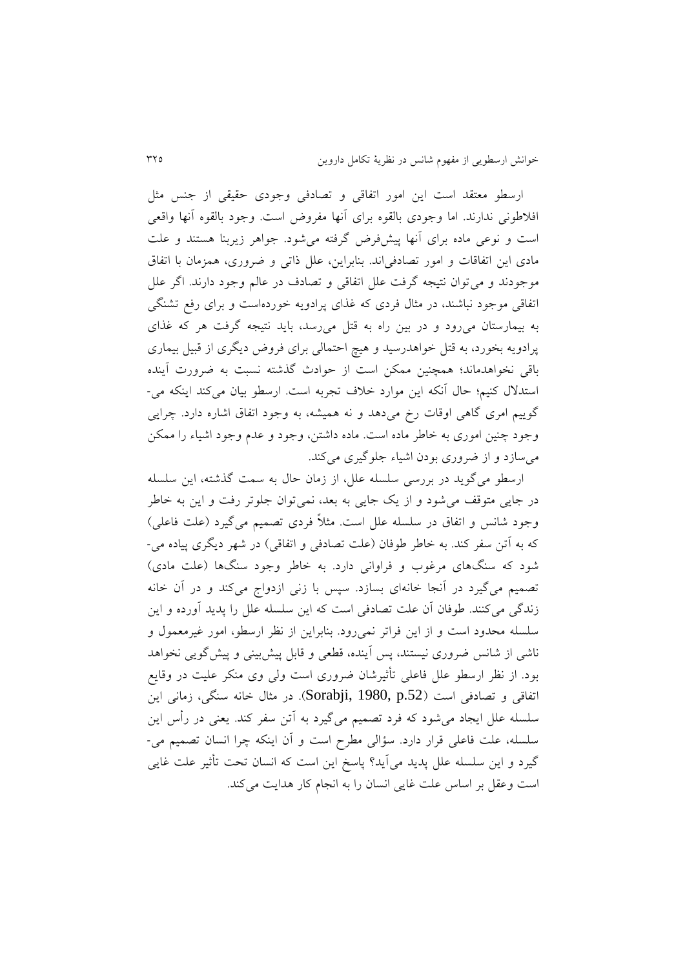ارسطو معتقد است اين امور اتفاقی و تصادفی وجودی حقیقی از جنس مثل افالطونی ندارند. اما وجودی بالقوه برای آنها مفروض است. وجود بالقوه آنها واقعی است و نوعی ماده برای آنها پیشفرض ررفته میشود. جواهر زيربنا هستند و علت مادی اين اتفاقات و امور تصادفیاند. بنابراين، علل ذاتی و ضروری، همزمان با اتفاق موجودند و می توان نتیجه گرفت علل اتفاقی و تصادف در عالم وجود دارند. اگر علل اتفاقی موجود نباشند، در مثال فردی که غذای پرادويه خوردهاست و برای رفع تشنگی به بیمارستان میرود و در بین راه به قتل میرسد، بايد نتیجه ررفت هر که غذای پرادويه بخورد، به قتل خواهدرسید و هیچ احتمالی برای فروض ديگری از قبیل بیماری باقی نخواهدماند؛ همچنین ممکن است از حوادث رذشته نسبت به ضرورت آينده استدالل کنیم؛ حال آنکه اين موارد خالف تجربه است. ارسطو بیان میکند اينکه می- گوييم امری گاهی اوقات رخ میدهد و نه همیشه، به وجود اتفاق اشاره دارد. چرايی وجود چنین اموری به خاطر ماده است. ماده داشتن، وجود و عدم وجود اشیاء را ممکن میسازد و از ضروری بودن اشیاء جلوریری میکند.

ارسطو می گوید در بررسی سلسله علل، از زمان حال به سمت گذشته، این سلسله در جايی متوقف میشود و از يک جايی به بعد، نمیتوان جلوتر رفت و اين به خاطر وجود شانس و اتفاق در سلسله علل است. مثلاً فردی تصمیم می گیرد (علت فاعلی) که به آتن سفر کند. به خاطر طوفان (علت تصادفی و اتفاقی) در شهر ديگری پياده می-شود که سنگهای مرغوب و فراوانی دارد. به خاطر وجود سنگها )علت مادی( تصمیم میگیرد در آنجا خانهای بسازد. سپس با زنی ازدواج میکند و در آن خانه زندگی می کنند. طوفان آن علت تصادفی است که اين سلسله علل را پديد آورده و اين سلسله محدود است و از اين فراتر نمیرود. بنابراين از نظر ارسطو، امور غیرمعمول و ناشی از شانس ضروری نیستند، پس آینده، قطعی و قابل پیشبینی و پیش گویی نخواهد بود. از نظر ارسطو علل فاعلی تأثیرشان ضروری است ولی وی منکر علیت در وقايع اتفاقی و تصادفی است (Sorabji, 1980, p.52). در مثال خانه سنگی، زمانی این سلسله علل ايجاد میشود که فرد تصمیم میریرد به آتن سفر کند. يعنی در رأس اين سلسله، علت فاعلی قرار دارد. سؤالی مطرح است و آن اينکه چرا انسان تصمیم می- ریرد و اين سلسله علل پديد میآيد؟ پاسخ اين است که انسان تحت تأثیر علت غايی است وعقل بر اساس علت غايی انسان را به انجام کار هدايت میکند.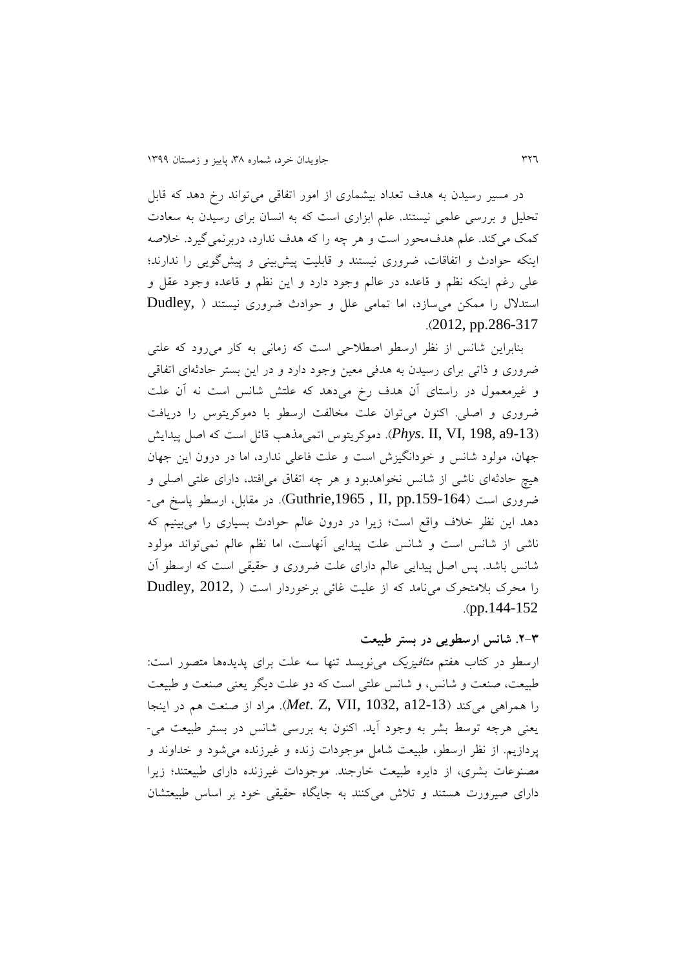در مسیر رسیدن به هدف تعداد بیشماری از امور اتفاقی می تواند رخ دهد که قابل تحلیل و بررسی علمی نیستند. علم ابزاری است که به انسان برای رسیدن به سعادت کمک میکند. علم هدف محور است و هر چه را که هدف ندارد، دربرنمی گیرد. خلاصه اینکه حوادث و اتفاقات، ضروری نیستند و قابلیت پیشبینی و پیش گویی را ندارند؛ علی رغم اينکه نظم و قاعده در عالم وجود دارد و اين نظم و قاعده وجود عقل و استدالل را ممکن میسازد، اما تمامی علل و حوادث ضروری نیستند ) ,Dudley  $.2012$ , pp.286-317

بنابراين شانس از نظر ارسطو اصطالحی است که زمانی به کار میرود که علتی ضروری و ذاتی برای رسیدن به هدفی معین وجود دارد و در اين بستر حادثهای اتفاقی و غیرمعمول در راستای آن هدف رخ میدهد که علتش شانس است نه آن علت ضروری و اصلی. اکنون میتوان علت مخالفت ارسطو با دموکريتوس را دريافت )9-13a 198, ,VI ,II .*Phys*). دموکريتوس اتمیمذهب قائل است که اصل پیدايش جهان، مولود شانس و خودانگیزش است و علت فاعلی ندارد، اما در درون اين جهان هیچ حادثهای ناشی از شانس نخواهدبود و هر چه اتفاق میافتد، دارای علتی اصلی و ضروری است ).159-164pp ,II , ,1965Guthrie). در مقابل، ارسطو پاسخ می- دهد اين نظر خالف واقع است؛ زيرا در درون عالم حوادث بسیاری را میبینیم که ناشی از شانس است و شانس علت پیدايی آنهاست، اما نظم عالم نمیتواند مولود شانس باشد. پس اصل پیدايی عالم دارای علت ضروری و حقیقی است که ارسطو آن را محرک بالمتحرک مینامد که از علیت غائی برخوردار است ) 2012, ,Dudley  $(pp.144-152)$ 

#### **.3-8 شانس ارسطویی در بستر طبیعت**

ارسطو در کتاب هفتم متافیزيک مینويسد تنها سه علت برای پديدهها متصور است: طبیعت، صنعت و شانس، و شانس علتی است که دو علت ديگر يعنی صنعت و طبیعت را همراهی میکند )12-13a 1032, ,VII ,Z .*Met*). مراد از صنعت هم در اينجا يعنی هرچه توسط بشر به وجود آيد. اکنون به بررسی شانس در بستر طبیعت می- پردازيم. از نظر ارسطو، طبیعت شامل موجودات زنده و غیرزنده میشود و خداوند و مصنوعات بشری، از دايره طبیعت خارجند. موجودات غیرزنده دارای طبیعتند؛ زيرا دارای صیرورت هستند و تالش میکنند به جايگاه حقیقی خود بر اساس طبیعتشان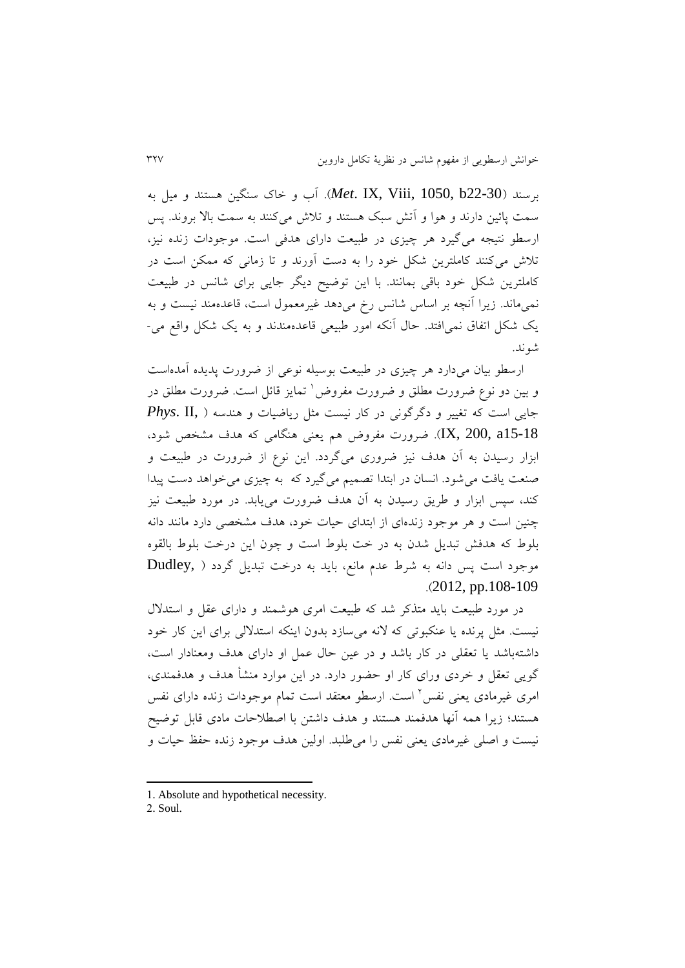برسند )22-30b 1050, ,Viii ,IX .*Met*). آب و خاک سنگین هستند و میل به سمت پائین دارند و هوا و آتش سبک هستند و تالش میکنند به سمت باال بروند. پس ارسطو نتیجه می گیرد هر چیزی در طبیعت دارای هدفی است. موجودات زنده نیز، تالش میکنند کاملترين شکل خود را به دست آورند و تا زمانی که ممکن است در کاملترين شکل خود باقی بمانند. با اين توضیح ديگر جايی برای شانس در طبیعت نمیماند. زيرا آنچه بر اساس شانس رخ میدهد غیرمعمول است، قاعدهمند نیست و به يک شکل اتفاق نمیافتد. حال آنکه امور طبیعی قاعدهمندند و به يک شکل واقع می- شوند.

ارسطو بیان میدارد هر چیزی در طبیعت بوسیله نوعی از ضرورت پديده آمدهاست و بین دو نوع ضرورت مطلق و ضرورت مفروض ٰ تمایز قائل است. ضرورت مطلق در جايی است که تغییر و درررونی در کار نیست مثل رياضیات و هندسه ) ,II .*Phys* 15-18a 200, ,IX). ضرورت مفروض هم يعنی هنگامی که هدف مشخص شود، ابزار رسیدن به آن هدف نیز ضروری میگردد. این نوع از ضرورت در طبیعت و صنعت يافت میشود. انسان در ابتدا تصمیم میریرد که به چیزی میخواهد دست پیدا کند، سپس ابزار و طريق رسیدن به آن هدف ضرورت میيابد. در مورد طبیعت نیز چنین است و هر موجود زندهای از ابتدای حیات خود، هدف مشخصی دارد مانند دانه بلوط که هدفش تبديل شدن به در خت بلوط است و چون اين درخت بلوط بالقوه Dudley, ) موجود است پس دانه به شرط عدم مانع، بايد به درخت تبديل گردد  $.2012$ , pp.108-109

در مورد طبیعت بايد متذکر شد که طبیعت امری هوشمند و دارای عقل و استدالل نیست. مثل پرنده يا عنکبوتی که النه میسازد بدون اينکه استداللی برای اين کار خود داشتهباشد يا تعقلی در کار باشد و در عین حال عمل او دارای هدف ومعنادار است، رويی تعقل و خردی ورای کار او حضور دارد. در اين موارد منشأ هدف و هدفمندی، امری غیرمادی یعنی نفس<sup>۲</sup> است. ارسطو معتقد است تمام موجودات زنده دارای نفس هستند؛ زيرا همه آنها هدفمند هستند و هدف داشتن با اصطالحات مادی قابل توضیح نیست و اصلی غیرمادی يعنی نفس را میطلبد. اولین هدف موجود زنده حفظ حیات و

**.** 

<sup>1.</sup> Absolute and hypothetical necessity.

<sup>2.</sup> Soul.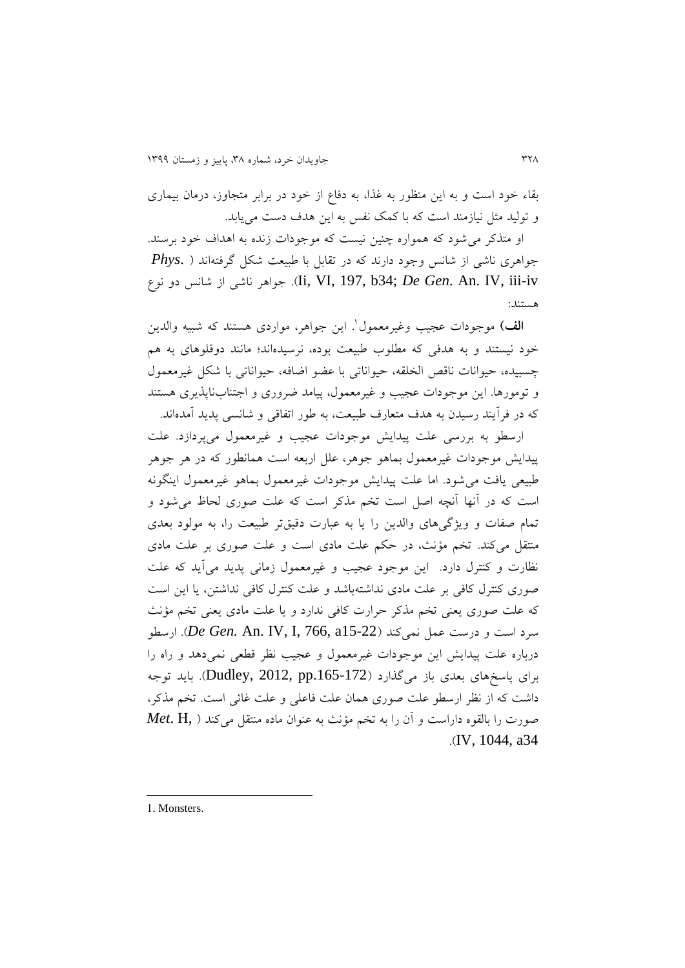بقاء خود است و به اين منظور به غذا، به دفا از خود در برابر متجاوز، درمان بیماری و تولید مثل نیازمند است که با کمک نفس به اين هدف دست میيابد.

او متذکر میشود که همواره چنین نیست که موجودات زنده به اهداف خود برسند. جواهری ناشی از شانس وجود دارند که در تقابل با طبیعت شکل ررفتهاند ) .*Phys* نو دو شانس از ناشی جواهر .(Ii, VI, 197, b34; *De Gen*. An. IV, iii-iv هستند:

ا**لف)** موجودات عجیب وغیرمعمول<sup>י</sup>. این جواهر، مواردی هستند که شبیه والدین خود نیستند و به هدفی که مطلوب طبیعت بوده، نرسیدهاند؛ مانند دوقلوهای به هم چسبیده، حیوانات ناقص الخلقه، حیواناتی با عضو اضافه، حیواناتی با شکل غیرمعمول و تومورها. اين موجودات عجیب و غیرمعمول، پیامد ضروری و اجتنابناپذيری هستند که در فرآيند رسیدن به هدف متعارف طبیعت، به طور اتفاقی و شانسی پديد آمدهاند.

ارسطو به بررسی علت پیدايش موجودات عجیب و غیرمعمول میپردازد. علت پیدايش موجودات غیرمعمول بماهو جوهر، علل اربعه است همانطور که در هر جوهر طبیعی يافت میشود. اما علت پیدايش موجودات غیرمعمول بماهو غیرمعمول اينگونه است که در آنها آنچه اصل است تخم مذکر است که علت صوری لحاظ میشود و تمام صفات و ويژگي های والدين را يا به عبارت دقيقتر طبيعت را، به مولود بعدی منتقل میکند. تخم مؤنث، در حکم علت مادی است و علت صوری بر علت مادی نظارت و کنترل دارد. اين موجود عجیب و غیرمعمول زمانی پديد میآيد که علت صوری کنترل کافی بر علت مادی نداشتهباشد و علت کنترل کافی نداشتن، يا اين است که علت صوری يعنی تخم مذکر حرارت کافی ندارد و يا علت مادی يعنی تخم مؤنث سرد است و درست عمل نمیکند )15-22a 766, ,I ,IV .An *.Gen De*). ارسطو درباره علت پیدايش اين موجودات غیرمعمول و عجیب نظر قطعی نمیدهد و راه را برای پاسخهای بعدی باز میگذارد (Dudley, 2012, pp.165-172). بايد توجه داشت که از نظر ارسطو علت صوری همان علت فاعلی و علت غائی است. تخم مذکر، صورت را بالقوه داراست و آن را به تخم مؤنث به عنوان ماده منتقل میکند ) ,H .*Met* .)IV, 1044, a34

1. Monsters.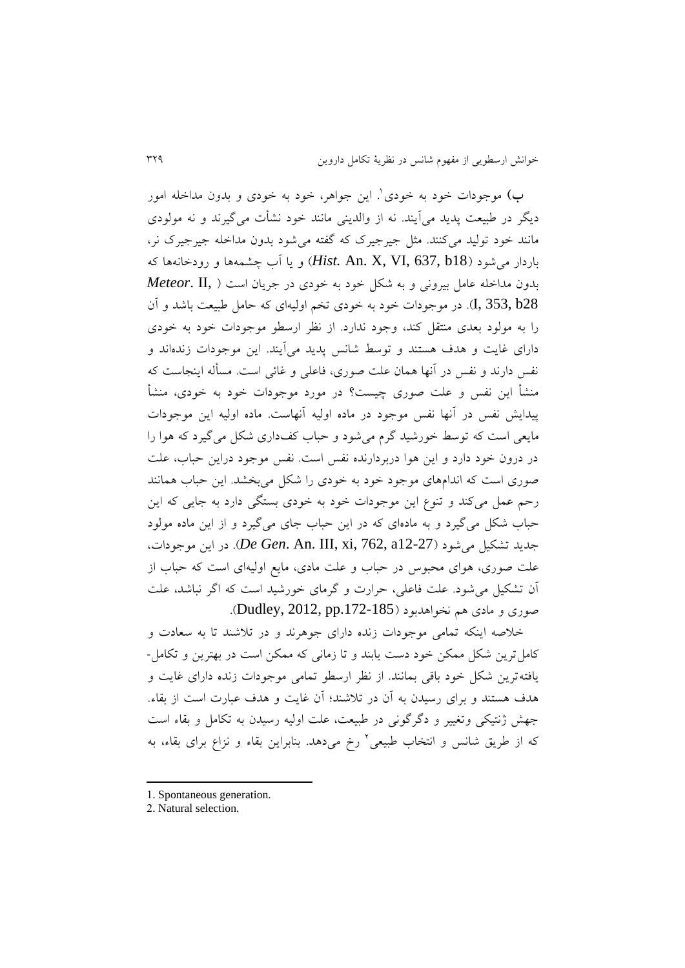ب) موجودات خود به خودی<sup>۱</sup>. این جواهر، خود به خودی و بدون مداخله امور ديگر در طبیعت پديد میآيند. نه از والدينی مانند خود نشأت میریرند و نه مولودی مانند خود تولید میکنند. مثل جیرجیرک که رفته میشود بدون مداخله جیرجیرک نر، باردار میشود )18b 637, ,VI ,X .An *.Hist* )و يا آب چشمهها و رودخانهها که بدون مداخله عامل بیرونی و به شکل خود به خودی در جريان است ) ,II .*Meteor* 28b 353, ,I). در موجودات خود به خودی تخم اولیهای که حامل طبیعت باشد و آن را به مولود بعدی منتقل کند، وجود ندارد. از نظر ارسطو موجودات خود به خودی دارای غايت و هدف هستند و توسط شانس پديد میآيند. اين موجودات زندهاند و نفس دارند و نفس در آنها همان علت صوری، فاعلی و غائی است. مسأله اينجاست که منشأ اين نفس و علت صوری چیست؟ در مورد موجودات خود به خودی، منشأ پیدايش نفس در آنها نفس موجود در ماده اولیه آنهاست. ماده اولیه اين موجودات مايعی است که توسط خورشيد گرم می شود و حباب کفداری شکل می گيرد که هوا را در درون خود دارد و اين هوا دربردارنده نفس است. نفس موجود دراين حباب، علت صوری است که اندامهای موجود خود به خودی را شکل میبخشد. اين حباب همانند رحم عمل میکند و تنو اين موجودات خود به خودی بستگی دارد به جايی که اين حباب شکل می گیرد و به مادهای که در اين حباب جای می گیرد و از اين ماده مولود جديد تشکیل میشود )12-27a 762, ,xi ,III .An .*Gen De*). در اين موجودات، علت صوری، هوای محبوس در حباب و علت مادی، مايع اولیهای است که حباب از آن تشکیل میشود. علت فاعلی، حرارت و ررمای خورشید است که ارر نباشد، علت صوری و مادی هم نخواهدبود ).172-185pp 2012, ,Dudley).

خالصه اينکه تمامی موجودات زنده دارای جوهرند و در تالشند تا به سعادت و کاملترين شکل ممکن خود دست يابند و تا زمانی که ممکن است در بهترين و تکامل- يافتهترين شکل خود باقی بمانند. از نظر ارسطو تمامی موجودات زنده دارای غايت و هدف هستند و برای رسیدن به آن در تالشند؛ آن غايت و هدف عبارت است از بقاء. جهش ژنتیکی وتغییر و دگرگونی در طبیعت، علت اولیه رسیدن به تکامل و بقاء است که از طريق شانس و انتخاب طبيعی<sup>٬</sup> رخ میدهد. بنابراين بقاء و نزاع برای بقاء، به

- 1. Spontaneous generation.
- 2. Natural selection.

**.**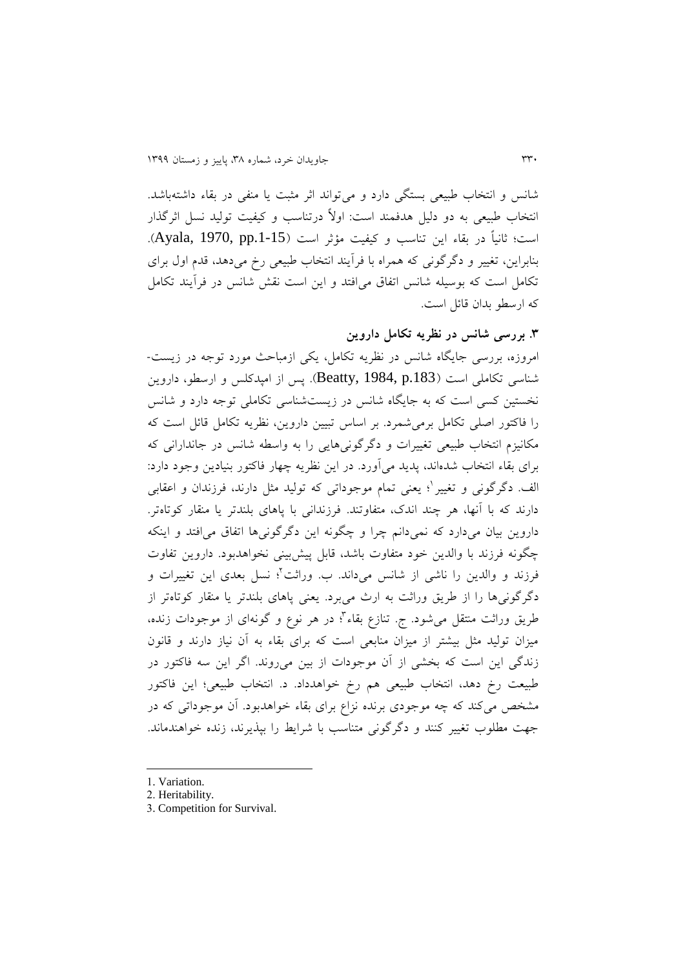شانس و انتخاب طبیعی بستگی دارد و میتواند اثر مثبت يا منفی در بقاء داشتهباشد. انتخاب طبیعی به دو دلیل هدفمند است: اوالً درتناسب و کیفیت تولید نسل اثررذار است؛ ثانیاً در بقاء اين تناسب و کیفیت مؤثر است ).1-15pp 1970, ,Ayala). بنابراين، تغییر و دگرگونی که همراه با فرآيند انتخاب طبیعی رخ میدهد، قدم اول برای تکامل است که بوسیله شانس اتفاق میافتد و اين است نقش شانس در فرآيند تکامل که ارسطو بدان قائل است.

**.8 بررسی شانس در نظریه تکامل داروین**

امروزه، بررسی جايگاه شانس در نظريه تکامل، يکی ازمباحث مورد توجه در زيست- شناسی تکاملی است ).183p 1984, ,Beatty). پس از امپدکلس و ارسطو، داروين نخستین کسی است که به جايگاه شانس در زيستشناسی تکاملی توجه دارد و شانس را فاکتور اصلی تکامل برمیشمرد. بر اساس تبیین داروين، نظريه تکامل قائل است که مکانیزم انتخاب طبیعی تغییرات و دگرگونیهایی را به واسطه شانس در جاندارانی که برای بقاء انتخاب شدهاند، پديد میآورد. در اين نظريه چهار فاکتور بنیادين وجود دارد: لف. دگرگونی و تغییر`؛ یعنی تمام موجوداتی که تولید مثل دارند، فرزندان و اعقابی دارند که با آنها، هر چند اندک، متفاوتند. فرزندانی با پاهای بلندتر يا منقار کوتاهتر. داروين بيان میدارد که نمیدانم چرا و چگونه اين دگرگونیها اتفاق می افتد و اينکه چگونه فرزند با والدين خود متفاوت باشد، قابل پیشبینی نخواهدبود. داروين تفاوت فرزند و والدین را ناشی از شانس می**د**اند. ب. وراثت<sup>r</sup>؛ نسل بعدی این تغییرات و دگرگونیها را از طريق وراثت به ارث میبرد. يعنی پاهای بلندتر يا منقار کوتاهتر از طريق وراثت منتقل مىشود. ج. تنازع بقاء<sup>م٬</sup>: در هر نوع و گونهاى از موجودات زنده، میزان تولید مثل بیشتر از میزان منابعی است که برای بقاء به آن نیاز دارند و قانون زندگی اين است که بخشی از آن موجودات از بين می روند. اگر اين سه فاکتور در طبیعت رخ دهد، انتخاب طبیعی هم رخ خواهدداد. د. انتخاب طبیعی؛ اين فاکتور مشخص میکند که چه موجودی برنده نزا برای بقاء خواهدبود. آن موجوداتی که در جهت مطلوب تغییر کنند و دگر گونی متناسب با شرايط را بپذيرند، زنده خواهندماند.

- **.** 1. Variation.
- 2. Heritability.
- 3. Competition for Survival.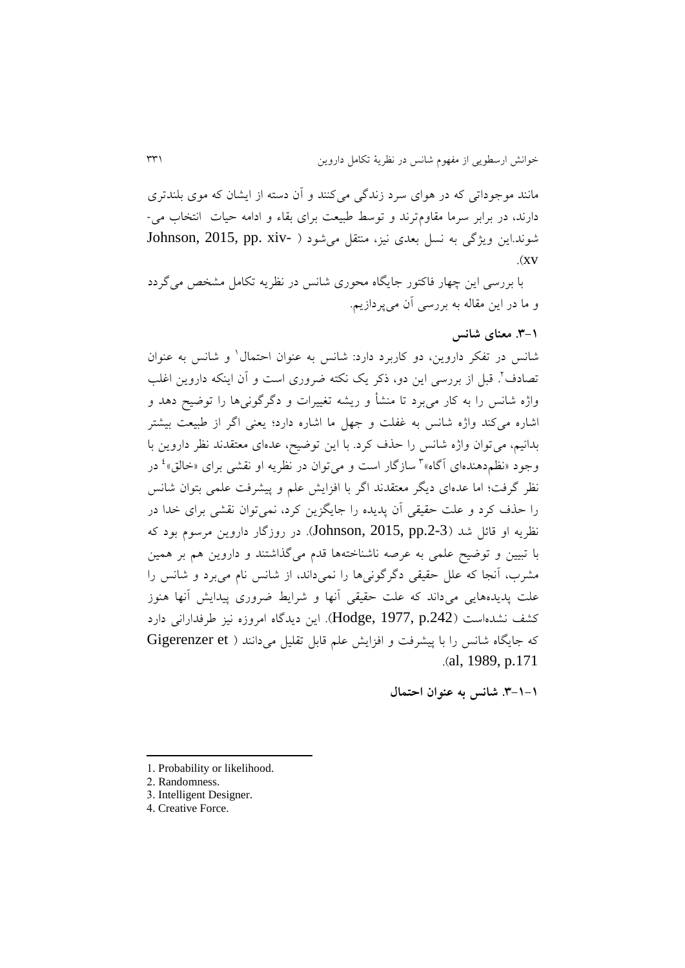مانند موجوداتی که در هوای سرد زندری میکنند و آن دسته از ايشان که موی بلندتری دارند، در برابر سرما مقاومترند و توسط طبیعت برای بقاء و ادامه حیات انتخاب می- 5 شوند.اين ويژگي به نسل بعدی نيز، منتقل می شود ( -Johnson, 2015, pp. xiv  $\overline{X}$ xv

با بررسی اين چهار فاکتور جايگاه محوری شانس در نظريه تکامل مشخص می گردد و ما در اين مقاله به بررسی آن میپردازيم.

### **.8-9 معنای شانس**

1 شانس در تفکر داروين، دو کاربرد دارد: شانس به عنوان احتمال و شانس به عنوان نصادف<sup>1</sup>. قبل از بررسی اين دو، ذکر يک نکته ضروری است و آن اينکه داروين اغلب واژه شانس را به کار میٍ برد تا منشأ و ریشه تغییرات و دگرگونیِها را توضیح دهد و اشاره میکند واژه شانس به غفلت و جهل ما اشاره دارد؛ یعنی اگر از طبیعت بیشتر بدانیم، میتوان واژه شانس را حذف کرد. با اين توضیح، عدهای معتقدند نظر داروين با وجود «نظم دهندهای آگاه»<sup>۳</sup> سازگار است و می¤وان در نظریه او نقشی برای «خالق»<sup>،</sup> در نظر گرفت؛ اما عدهای ديگر معتقدند اگر با افزايش علم و پيشرفت علمی بتوان شانس را حذف کرد و علت حقیقی آن پديده را جايگزين کرد، نمیتوان نقشی برای خدا در نظريه او قائل شد (Johnson, 2015, pp.2-3). در روزگار داروين مرسوم بود که با تبیین و توضیح علمی به عرصه ناشناختهها قدم میرذاشتند و داروين هم بر همین مشرب، آنجا که علل حقیقی دگر گونی ها را نمی داند، از شانس نام می برد و شانس را علت پديدههايی میداند که علت حقیقی آنها و شرايط ضروری پیدايش آنها هنوز کشف نشدهاست ).242p 1977, ,Hodge). اين ديدراه امروزه نیز طرفدارانی دارد که جايگاه شانس را با پيشرفت و افزايش علم قابل تقليل مي دانند ( Gigerenzer et .)al, 1989, p.171

**.8-9-9 شانس به عنوان احتمال**

<sup>1.</sup> Probability or likelihood.

<sup>2.</sup> Randomness.

<sup>3.</sup> Intelligent Designer.

<sup>4.</sup> Creative Force.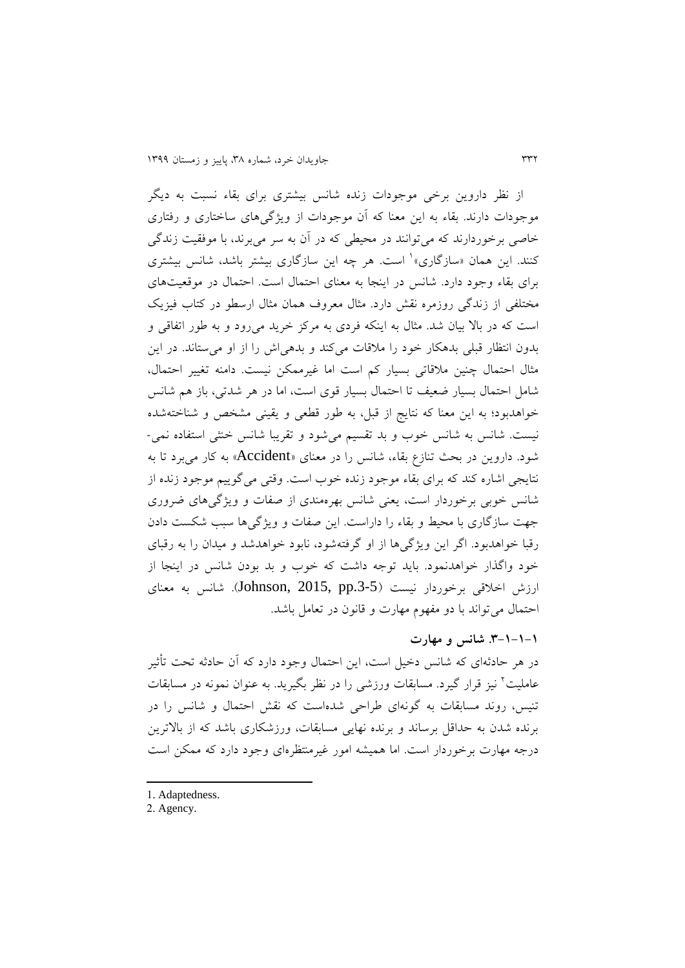از نظر داروين برخی موجودات زنده شانس بیشتری برای بقاء نسبت به ديگر موجودات دارند. بقاء به اين معنا که آن موجودات از ويژریهای ساختاری و رفتاری خاصی برخوردارند که میتوانند در محیطی که در آن به سر میبرند، با موفقیت زندگی کنند. این همان «سازگاری»<sup>۱</sup> است. هر چه این سازگاری بیشتر باشد، شانس بیشتری برای بقاء وجود دارد. شانس در اينجا به معنای احتمال است. احتمال در موقعیتهای مختلفی از زندگی روزمره نقش دارد. مثال معروف همان مثال ارسطو در کتاب فیزیک است که در باال بیان شد. مثال به اينکه فردی به مرکز خريد میرود و به طور اتفاقی و بدون انتظار قبلی بدهکار خود را مالقات میکند و بدهیاش را از او میستاند. در اين مثال احتمال چنین مالقاتی بسیار کم است اما غیرممکن نیست. دامنه تغییر احتمال، شامل احتمال بسیار ضعیف تا احتمال بسیار قوی است، اما در هر شدتی، باز هم شانس خواهدبود؛ به اين معنا که نتايج از قبل، به طور قطعی و يقینی مشخص و شناختهشده نیست. شانس به شانس خوب و بد تقسیم میشود و تقريبا شانس خنثی استفاده نمی- شود. داروين در بحث تناز بقاء، شانس را در معنای »Accident »به کار میبرد تا به نتايجی اشاره کند که برای بقاء موجود زنده خوب است. وقتی می گوییم موجود زنده از شانس خوبی برخوردار است، يعنی شانس بهرهمندی از صفات و ويژریهای ضروری جهت سازگاری با محیط و بقاء را داراست. اين صفات و ويژگی ها سبب شکست دادن رقبا خواهدبود. اگر اين ويژگي ها از او گرفتهشود، نابود خواهدشد و ميدان را به رقبای خود واگذار خواهدنمود. بايد توجه داشت که خوب و بد بودن شانس در اينجا از ارزش اخالقی برخوردار نیست ).3-5pp 2015, ,Johnson). شانس به معنای احتمال میتواند با دو مفهوم مهارت و قانون در تعامل باشد.

#### **.8-9-9-9 شانس و مهارت**

در هر حادثهای که شانس دخیل است، اين احتمال وجود دارد که آن حادثه تحت تأثیر عاملیت<sup>۲</sup> نیز قرار گیرد. مسابقات ورزشی را در نظر بگیرید. به عنوان نمونه در مسابقات تنیس، روند مسابقات به رونهای طراحی شدهاست که نقش احتمال و شانس را در برنده شدن به حداقل برساند و برنده نهايی مسابقات، ورزشکاری باشد که از باالترين درجه مهارت برخوردار است. اما همیشه امور غیرمنتظرهای وجود دارد که ممکن است

- 1. Adaptedness.
- 2. Agency.

**.**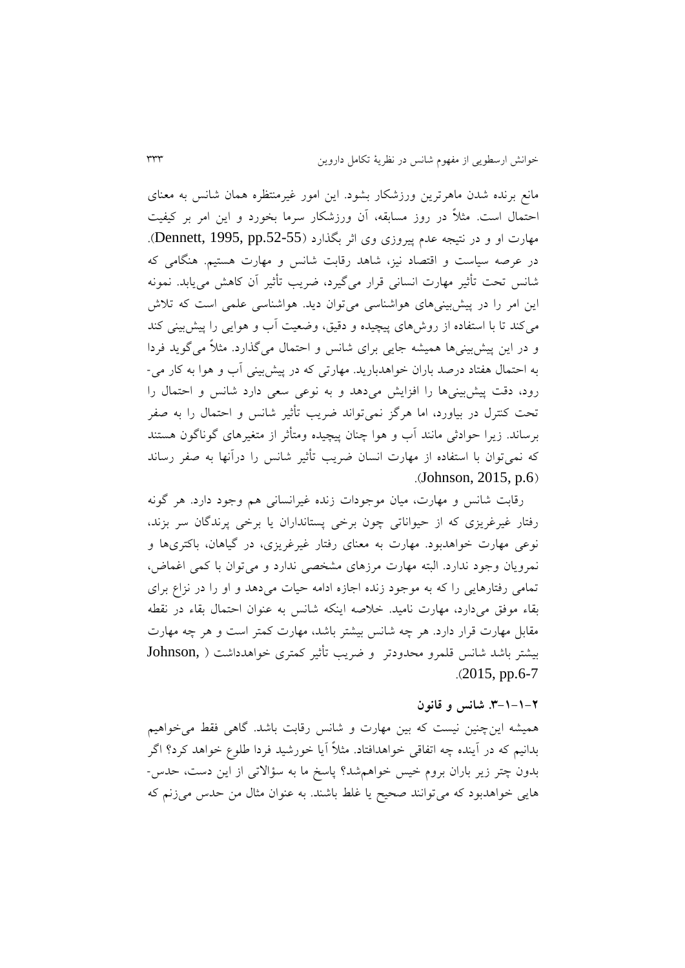مانع برنده شدن ماهرترين ورزشکار بشود. اين امور غیرمنتظره همان شانس به معنای احتمال است. مثالً در روز مسابقه، آن ورزشکار سرما بخورد و اين امر بر کیفیت مهارت او و در نتیجه عدم پیروزی وی اثر بگذارد ).52-55pp 1995, ,Dennett). در عرصه سیاست و اقتصاد نیز، شاهد رقابت شانس و مهارت هستیم. هنگامی که شانس تحت تأثیر مهارت انسانی قرار میریرد، ضريب تأثیر آن کاهش میيابد. نمونه اين امر را در پیشبینیهای هواشناسی میتوان ديد. هواشناسی علمی است که تالش میکند تا با استفاده از روشهای پیچیده و دقیق، وضعیت آب و هوايی را پیشبینی کند و در اين پيشبينیها هميشه جايی برای شانس و احتمال می گذارد. مثلاً می گويد فردا به احتمال هفتاد درصد باران خواهدباريد. مهارتی که در پیشبینی آب و هوا به کار می- رود، دقت پیشبینیها را افزايش میدهد و به نوعی سعی دارد شانس و احتمال را تحت کنترل در بیاورد، اما هررز نمیتواند ضريب تأثیر شانس و احتمال را به صفر برساند. زيرا حوادثی مانند آب و هوا چنان پیچیده ومتأثر از متغیرهای رونارون هستند که نمیتوان با استفاده از مهارت انسان ضريب تأثیر شانس را درآنها به صفر رساند  $(Johnson, 2015, p.6)$ 

رقابت شانس و مهارت، میان موجودات زنده غیرانسانی هم وجود دارد. هر رونه رفتار غیرغریزی که از حیواناتی چون برخی پستانداران یا برخی پرندگان سر بزند، نوعی مهارت خواهدبود. مهارت به معنای رفتار غیرغريزی، در ریاهان، باکتریها و نمرويان وجود ندارد. البته مهارت مرزهای مشخصی ندارد و میتوان با کمی اغماض، تمامی رفتارهايی را که به موجود زنده اجازه ادامه حیات میدهد و او را در نزا برای بقاء موفق میدارد، مهارت نامید. خالصه اينکه شانس به عنوان احتمال بقاء در نقطه مقابل مهارت قرار دارد. هر چه شانس بیشتر باشد، مهارت کمتر است و هر چه مهارت بیشتر باشد شانس قلمرو محدودتر و ضريب تأثیر کمتری خواهدداشت ) ,Johnson .)2015, pp.6-7

#### **.8-9-9-3 شانس و قانون**

همیشه اينچنین نیست که بین مهارت و شانس رقابت باشد. راهی فقط میخواهیم بدانیم که در آينده چه اتفاقی خواهدافتاد. مثالً آيا خورشید فردا طلو خواهد کرد؟ ارر بدون چتر زير باران بروم خیس خواهمشد؟ پاسخ ما به سؤاالتی از اين دست، حدس- هايی خواهدبود که میتوانند صحیح يا غلط باشند. به عنوان مثال من حدس میزنم که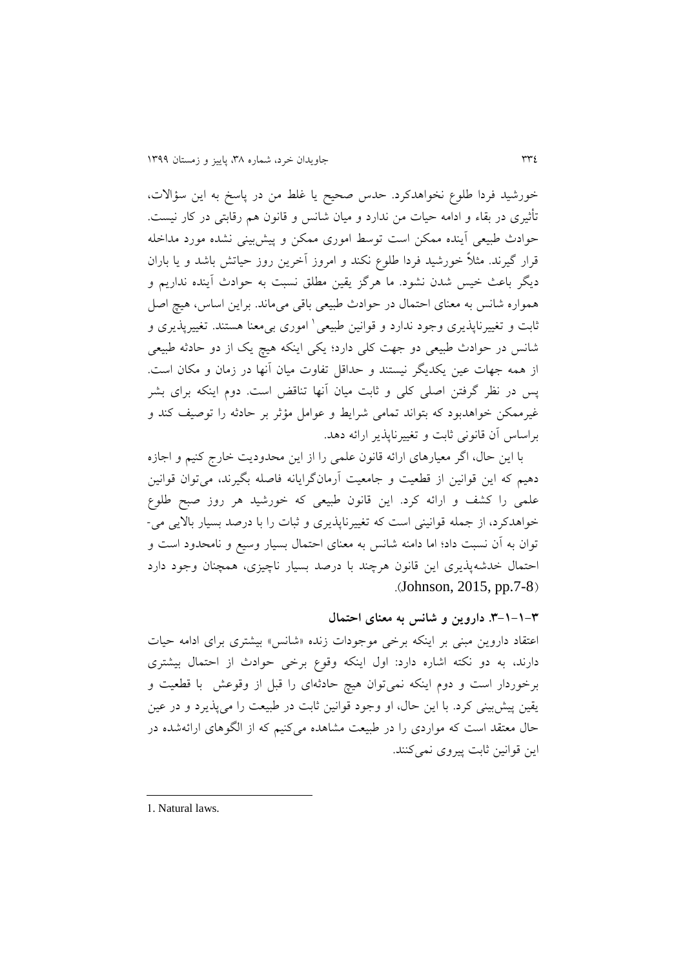خورشید فردا طلو نخواهدکرد. حدس صحیح يا غلط من در پاسخ به اين سؤاالت، تأثیری در بقاء و ادامه حیات من ندارد و میان شانس و قانون هم رقابتی در کار نیست. حوادث طبیعی آينده ممکن است توسط اموری ممکن و پیشبینی نشده مورد مداخله قرار گیرند. مثلاً خورشید فردا طلوع نکند و امروز آخرین روز حیاتش باشد و یا باران ديگر باعث خیس شدن نشود. ما هررز يقین مطلق نسبت به حوادث آينده نداريم و همواره شانس به معنای احتمال در حوادث طبیعی باقی میماند. براين اساس، هیچ اصل نابت و تغییرناپذیری وجود ندارد و قوانین طبیعی<sup>۱</sup> اموری بیαمعنا هستند. تغییرپذیری و شانس در حوادث طبیعی دو جهت کلی دارد؛ يکی اينکه هیچ يک از دو حادثه طبیعی از همه جهات عین يکديگر نیستند و حداقل تفاوت میان آنها در زمان و مکان است. پس در نظر گرفتن اصلی کلی و ثابت میان آنها تناقض است. دوم اینکه برای بشر غیرممکن خواهدبود که بتواند تمامی شرايط و عوامل مؤثر بر حادثه را توصیف کند و براساس آن قانونی ثابت و تغییرناپذير ارائه دهد.

با اين حال، ارر معیارهای ارائه قانون علمی را از اين محدوديت خارج کنیم و اجازه دهیم که این قوانین از قطعیت و جامعیت آرمانگرایانه فاصله بگیرند، میتوان قوانین علمی را کشف و ارائه کرد. اين قانون طبیعی که خورشید هر روز صبح طلو خواهدکرد، از جمله قوانینی است که تغییرناپذيری و ثبات را با درصد بسیار بااليی می- توان به آن نسبت داد؛ اما دامنه شانس به معنای احتمال بسیار وسیع و نامحدود است و احتمال خدشهپذيری اين قانون هرچند با درصد بسیار ناچیزی، همچنان وجود دارد .(Johnson, 2015, pp.7-8)

**.8-9-9-8 داروین و شانس به معنای احتمال**

اعتقاد داروين مبنى بر اينکه برخی موجودات زنده «شانس» بیشتری برای ادامه حیات دارند، به دو نکته اشاره دارد: اول اینکه وقوع برخی حوادث از احتمال بیشتری برخوردار است و دوم اينکه نمیتوان هیچ حادثهای را قبل از وقوعش با قطعیت و يقین پیشبینی کرد. با اين حال، او وجود قوانین ثابت در طبیعت را میپذيرد و در عین حال معتقد است که مواردی را در طبیعت مشاهده میکنیم که از الگوهای ارائهشده در اين قوانین ثابت پیروی نمیکنند.

1. Natural laws.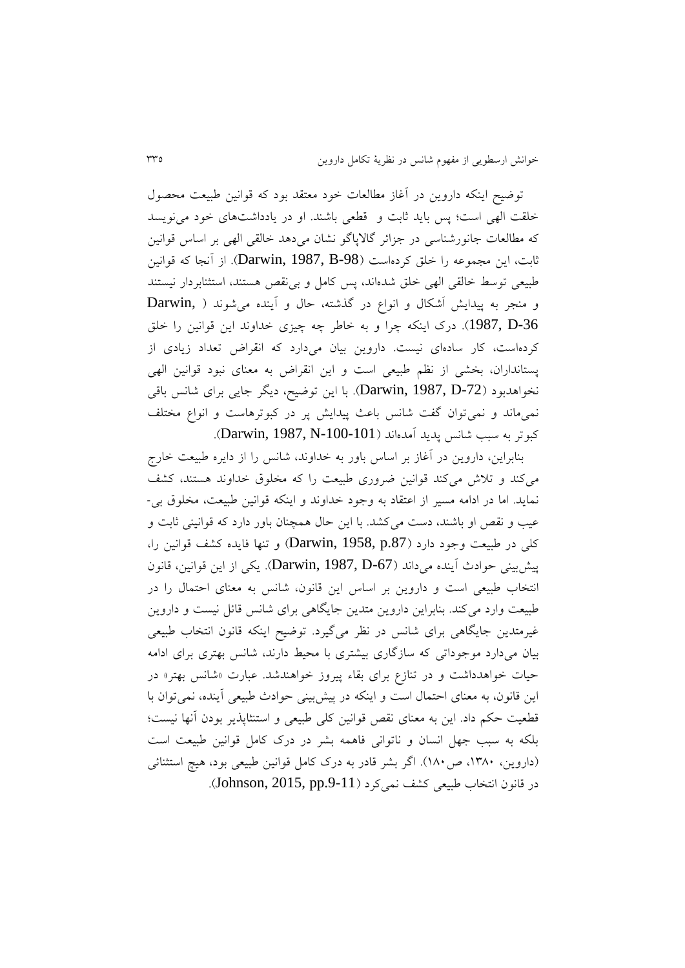توضیح اينکه داروين در آغاز مطالعات خود معتقد بود که قوانین طبیعت محصول خلقت الهی است؛ پس بايد ثابت و قطعی باشند. او در يادداشتهای خود مینويسد که مطالعات جانورشناسی در جزائر گالاپاگو نشان میدهد خالقی الهی بر اساس قوانین ثابت، اين مجموعه را خلق کردهاست (Darwin, 1987, B-98). از آنجا که قوانین طبیعی توسط خالقی الهی خلق شدهاند، پس کامل و بینقص هستند، استثنابردار نیستند و منجر به پيدايش اَشکال و انواع در گذشته، حال و آينده می شوند ( Darwin, -36D 1987,). درک اينکه چرا و به خاطر چه چیزی خداوند اين قوانین را خلق کردهاست، کار سادهای نیست. داروين بیان میدارد که انقراض تعداد زيادی از پستانداران، بخشی از نظم طبیعی است و اين انقراض به معنای نبود قوانین الهی نخواهدبود )-72D 1987, ,Darwin). با اين توضیح، ديگر جايی برای شانس باقی نمیماند و نمی توان گفت شانس باعث پیدایش پر در کبوترهاست و انواع مختلف کبوتر به سبب شانس پديد آمدهاند )-100-101N 1987, ,Darwin).

بنابراين، داروين در آغاز بر اساس باور به خداوند، شانس را از دايره طبیعت خارج میکند و تالش میکند قوانین ضروری طبیعت را که مخلوق خداوند هستند، کشف نمايد. اما در ادامه مسیر از اعتقاد به وجود خداوند و اينکه قوانین طبیعت، مخلوق بی- عیب و نقص او باشند، دست می کشد. با این حال همچنان باور دارد که قوانینی ثابت و کلی در طبیعت وجود دارد ).87p 1958, ,Darwin )و تنها فايده کشف قوانین را، پیشبینی حوادث آينده میداند )-67D 1987, ,Darwin). يکی از اين قوانین، قانون انتخاب طبیعی است و داروين بر اساس اين قانون، شانس به معنای احتمال را در طبیعت وارد میکند. بنابراين داروين متدين جايگاهی برای شانس قائل نیست و داروين غیرمتدين جايگاهی برای شانس در نظر میریرد. توضیح اينکه قانون انتخاب طبیعی بیان میدارد موجوداتی که سازراری بیشتری با محیط دارند، شانس بهتری برای ادامه حیات خواهدداشت و در تناز برای بقاء پیروز خواهندشد. عبارت »شانس بهتر« در اين قانون، به معنای احتمال است و اينکه در پیشبینی حوادث طبیعی آينده، نمیتوان با قطعیت حکم داد. اين به معنای نقص قوانین کلی طبیعی و استنثاپذير بودن آنها نیست؛ بلکه به سبب جهل انسان و ناتوانی فاهمه بشر در درک کامل قوانین طبیعت است )داروين، ،1633 ص133(. ارر بشر قادر به درک کامل قوانین طبیعی بود، هیچ استثنائی در قانون انتخاب طبیعی کشف نمیکرد (Johnson, 2015, pp.9-11).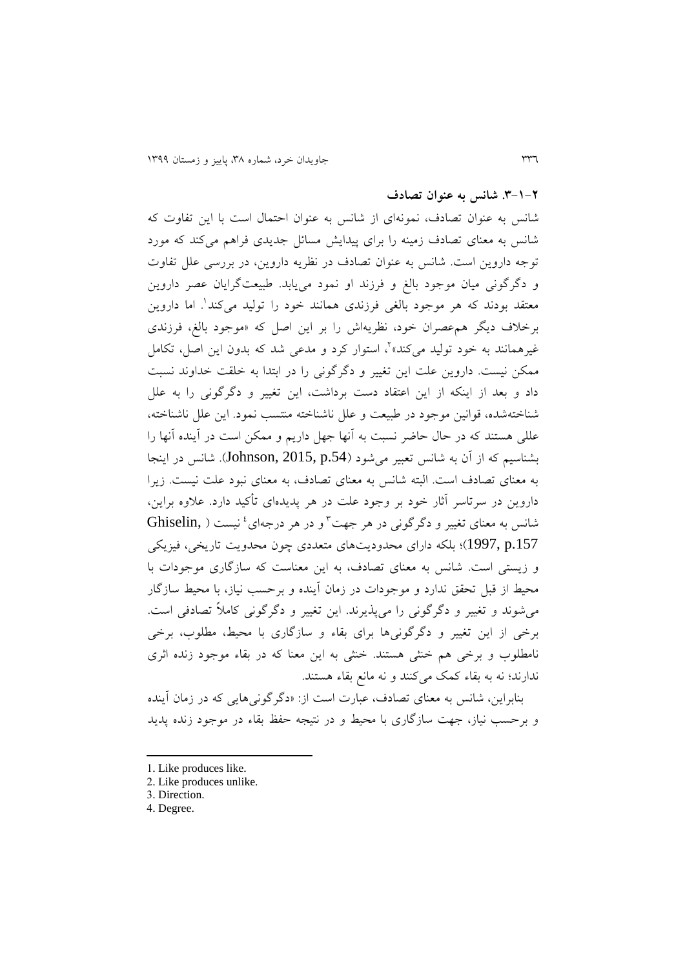**.8-9-3 شانس به عنوان تصادف**

شانس به عنوان تصادف، نمونهای از شانس به عنوان احتمال است با اين تفاوت که شانس به معنای تصادف زمینه را برای پیدايش مسائل جديدی فراهم میکند که مورد توجه داروين است. شانس به عنوان تصادف در نظريه داروين، در بررسی علل تفاوت و دگرگونی میان موجود بالغ و فرزند او نمود می یابد. طبیعتگرایان عصر داروین معتقد بودند که هر موجود بالغی فرزندی همانند خود را تولید میکند'. اما داروین برخالف ديگر همعصران خود، نظريهاش را بر اين اصل که »موجود بالغ، فرزندی غیرهمانند به خود تولید میکند»<sup>۲</sup>، استوار کرد و مدعی شد که بدون این اصل، تکامل ممکن نیست. داروین علت این تغییر و دگرگونی را در ابتدا به خلقت خداوند نسبت داد و بعد از اينکه از اين اعتقاد دست برداشت، اين تغيير و دگرگونی را به علل شناختهشده، قوانین موجود در طبیعت و علل ناشناخته منتسب نمود. اين علل ناشناخته، عللی هستند که در حال حاضر نسبت به آنها جهل داريم و ممکن است در آينده آنها را بشناسیم که از آن به شانس تعبیر میشود ).54p 2015, ,Johnson). شانس در اينجا به معنای تصادف است. البته شانس به معنای تصادف، به معنای نبود علت نیست. زيرا داروين در سرتاسر آثار خود بر وجود علت در هر پديدهای تأکید دارد. عالوه براين، Ghiselin, ) شانس به معنای تغییر و دگر گونی در هر جهت و در هر درجهای <sup>8</sup> نیست .157p 1997,)؛ بلکه دارای محدوديتهای متعددی چون محدويت تاريخی، فیزيکی و زيستی است. شانس به معنای تصادف، به اين معناست که سازراری موجودات با محیط از قبل تحقق ندارد و موجودات در زمان آینده و برحسب نیاز، با محیط سازگار میشوند و تغییر و دگرگونی را میپذیرند. این تغییر و دگرگونی کاملاً تصادفی است. برخی از اين تغییر و دگرگونیها برای بقاء و سازگاری با محیط، مطلوب، برخی نامطلوب و برخی هم خنثی هستند. خنثی به اين معنا که در بقاء موجود زنده اثری ندارند؛ نه به بقاء کمک میکنند و نه مانع بقاء هستند.

بنابراين، شانس به معنای تصادف، عبارت است از: »درررونیهايی که در زمان آينده و برحسب نیاز، جهت سازراری با محیط و در نتیجه حفظ بقاء در موجود زنده پديد

- 1. Like produces like.
- 2. Like produces unlike.

4. Degree.

<sup>3.</sup> Direction.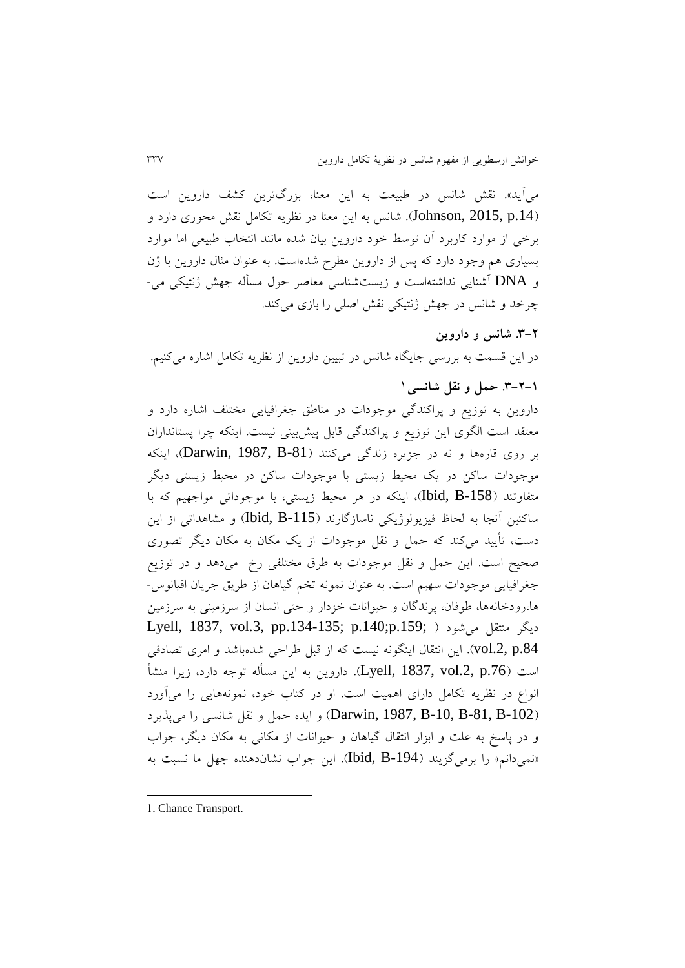میآيد». نقش شانس در طبیعت به اين معنا، بزرگترين کشف داروين است ).14p 2015, ,Johnson). شانس به اين معنا در نظريه تکامل نقش محوری دارد و برخی از موارد کاربرد آن توسط خود داروين بیان شده مانند انتخاب طبیعی اما موارد بسیاری هم وجود دارد که پس از داروين مطرح شدهاست. به عنوان مثال داروين با ژن و DNA آشنايی نداشتهاست و زيستشناسی معاصر حول مسأله جهش ژنتیکی می- چرخد و شانس در جهش ژنتیکی نقش اصلی را بازی میکند.

**.8-3 شانس و داروین** در اين قسمت به بررسی جايگاه شانس در تبیین داروين از نظريه تکامل اشاره میکنیم.

## 1 **.8-3-9 حمل و نقل شانسی**

داروين به توزيع و پراکندگی موجودات در مناطق جغرافيايی مختلف اشاره دارد و معتقد است الگوی اين توزيع و پراکندری قابل پیشبینی نیست. اينکه چرا پستانداران بر روی قارهها و نه در جزيره زندگی میکنند (Darwin, 1987, B-81)، اينکه موجودات ساکن در يک محیط زيستی با موجودات ساکن در محیط زيستی ديگر متفاوتند )-158B ,Ibid)، اينکه در هر محیط زيستی، با موجوداتی مواجهیم که با ساکنین آنجا به لحاظ فیزیولوژیکی ناسازگارند (Ibid, B-115) و مشاهداتی از این دست، تأيید میکند که حمل و نقل موجودات از يک مکان به مکان ديگر تصوری صحیح است. اين حمل و نقل موجودات به طرق مختلفی رخ میدهد و در توزيع جغرافیايی موجودات سهیم است. به عنوان نمونه تخم ریاهان از طريق جريان اقیانوس- ها،رودخانهها، طوفان، پرندگان و حیوانات خزدار و حتی انسان از سرزمینی به سرزمین Lyell, 1837, vol.3, pp.134-135; p.140;p.159; ( میشود منتقل ديگر .84p .2,vol). اين انتقال اينگونه نیست که از قبل طراحی شدهباشد و امری تصادفی است ).76p .2,vol 1837, ,Lyell). داروين به اين مسأله توجه دارد، زيرا منشأ انواع در نظريه تکامل دارای اهميت است. او در کتاب خود، نمونههايی را میآورد )-102B -81,B -10,B 1987, ,Darwin )و ايده حمل و نقل شانسی را میپذيرد و در پاسخ به علت و ابزار انتقال ریاهان و حیوانات از مکانی به مکان ديگر، جواب دنمی دانم» را برمیگزيند (Ibid, B-194). اين جواب نشاندهنده جهل ما نسبت به

1. Chance Transport.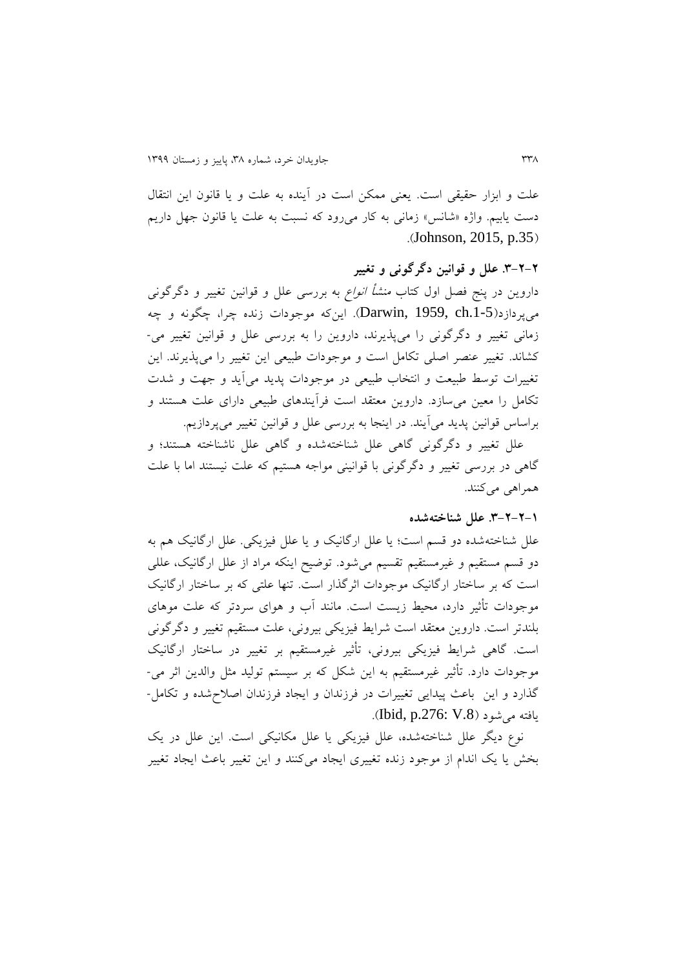علت و ابزار حقیقی است. يعنی ممکن است در آينده به علت و يا قانون اين انتقال دست يابیم. واژه »شانس« زمانی به کار میرود که نسبت به علت يا قانون جهل داريم .(Johnson, 2015, p.35)

**.8-3-3 علل و قوانین دگرگونی و تغییر** داروین در پنج فصل اول کتاب *منشأ انواع* به بررسی علل و قوانین تغییر و دگرگونی میپردازد).1-5ch 1959, ,Darwin). اينکه موجودات زنده چرا، چگونه و چه زمانی تغییر و دگرگونی را میپذیرند، داروین را به بررسی علل و قوانین تغییر می-کشاند. تغییر عنصر اصلی تکامل است و موجودات طبیعی اين تغییر را میپذيرند. اين تغییرات توسط طبیعت و انتخاب طبیعی در موجودات پديد میآيد و جهت و شدت تکامل را معین میسازد. داروين معتقد است فرآيندهای طبیعی دارای علت هستند و براساس قوانین پديد میآيند. در اينجا به بررسی علل و قوانین تغییر میپردازيم.

علل تغییر و دگرگونی گاهی علل شناختهشده و گاهی علل ناشناخته هستند؛ و گاهی در بررسی تغییر و دگرگونی با قوانینی مواجه هستیم که علت نیستند اما با علت همراهی میکنند.

#### **.8-3-3-9 علل شناختهشده**

علل شناختهشده دو قسم است؛ يا علل اررانیک و يا علل فیزيکی. علل اررانیک هم به دو قسم مستقیم و غیرمستقیم تقسیم میشود. توضیح اينکه مراد از علل اررانیک، عللی است که بر ساختار ارگانیک موجودات اثر گذار است. تنها علتی که بر ساختار ارگانیک موجودات تأثیر دارد، محیط زيست است. مانند آب و هوای سردتر که علت موهای بلندتر است. داروین معتقد است شرایط فیزیکی بیرونی، علت مستقیم تغییر و دگرگونی است. گاهی شرايط فيزيکی بيرونی، تأثیر غیرمستقیم بر تغییر در ساختار ارگانیک موجودات دارد. تأثیر غیرمستقیم به اين شکل که بر سیستم تولید مثل والدين اثر می- رذارد و اين باعث پیدايی تغییرات در فرزندان و ايجاد فرزندان اصالحشده و تکامل- يافته مي شود (Ibid, p.276: V.8).

نو ديگر علل شناختهشده، علل فیزيکی يا علل مکانیکی است. اين علل در يک بخش يا يک اندام از موجود زنده تغییری ايجاد میکنند و اين تغییر باعث ايجاد تغییر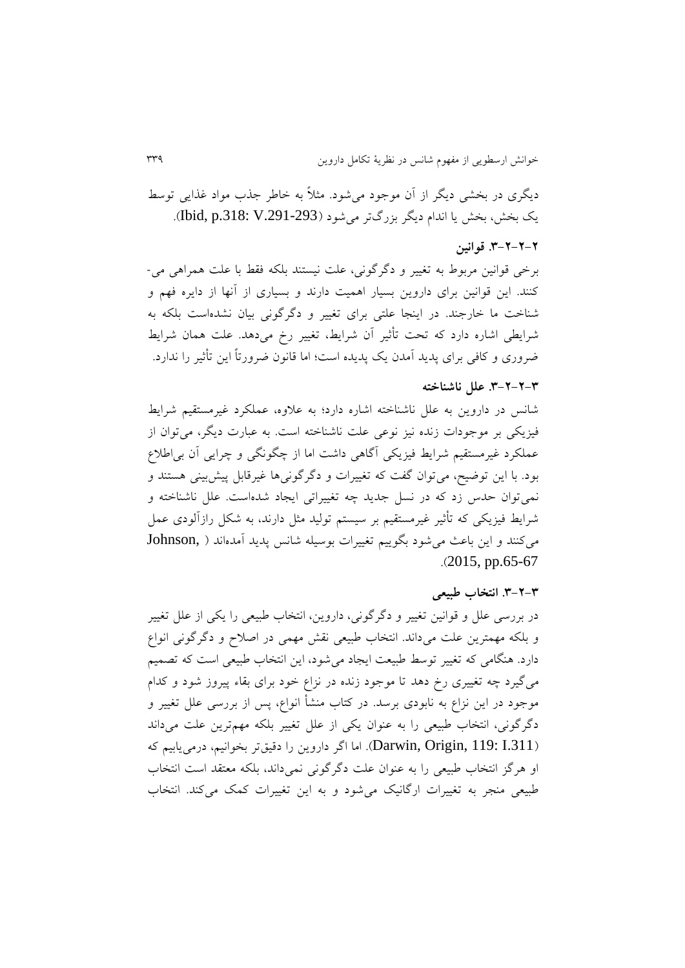ديگری در بخشی ديگر از آن موجود میشود. مثالً به خاطر جذب مواد غذايی توسط يک بخش، بخش يا اندام ديگر بزرگتر مي شود (Dbid, p.318: V.291-293).

### **.8-3-3-3 قوانین**

برخی قوانین مربوط به تغییر و درررونی، علت نیستند بلکه فقط با علت همراهی می- کنند. اين قوانین برای داروين بسیار اهمیت دارند و بسیاری از آنها از دايره فهم و شناخت ما خارجند. در اينجا علتی برای تغییر و درررونی بیان نشدهاست بلکه به شرايطی اشاره دارد که تحت تأثیر آن شرايط، تغییر رخ میدهد. علت همان شرايط ضروری و کافی برای پديد آمدن يک پديده است؛ اما قانون ضرورتاً اين تأثیر را ندارد.

#### **.8-3-3-8 علل ناشناخته**

شانس در داروين به علل ناشناخته اشاره دارد؛ به عالوه، عملکرد غیرمستقیم شرايط فیزيکی بر موجودات زنده نیز نوعی علت ناشناخته است. به عبارت ديگر، میتوان از عملکرد غیرمستقیم شرايط فیزيکی آراهی داشت اما از چگونگی و چرايی آن بیاطال بود. با این توضیح، میتوان گفت که تغییرات و دگرگونیها غیرقابل پیش بینی هستند و نمیتوان حدس زد که در نسل جديد چه تغییراتی ايجاد شدهاست. علل ناشناخته و شرايط فیزيکی که تأثیر غیرمستقیم بر سیستم تولید مثل دارند، به شکل رازآلودی عمل میکنند و اين باعث میشود بگويیم تغییرات بوسیله شانس پديد آمدهاند ) ,Johnson  $. (2015, pp.65-67)$ 

#### **.8-3-8 انتخاب طبیعی**

در بررسی علل و قوانین تغییر و دگرگونی، داروین، انتخاب طبیعی را یکی از علل تغییر و بلکه مهمترين علت میداند. انتخاب طبيعی نقش مهمی در اصلاح و دگرگونی انواع دارد. هنگامی که تغییر توسط طبیعت ايجاد میشود، اين انتخاب طبیعی است که تصمیم میگیرد چه تغییری رخ دهد تا موجود زنده در نزاع خود برای بقاء پیروز شود و کدام موجود در این نزاع به نابودی برسد. در کتاب منشأ انواع، پس از بررسی علل تغییر و دگرگونی، انتخاب طبیعی را به عنوان يکی از علل تغییر بلکه مهمترين علت میداند ).311I 119: ,Origin ,Darwin). اما ارر داروين را دقیقتر بخوانیم، درمیيابیم که او هرگز انتخاب طبیعی را به عنوان علت دگرگونی نمی داند، بلکه معتقد است انتخاب طبیعی منجر به تغییرات اررانیک میشود و به اين تغییرات کمک میکند. انتخاب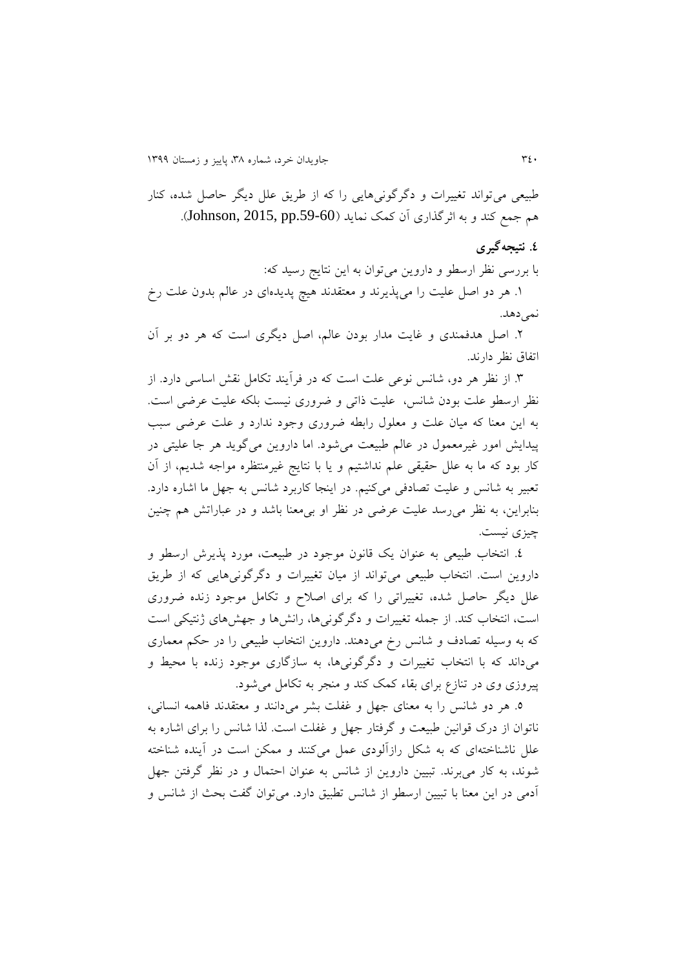طبیعی می تواند تغییرات و دگر گونی هایی را که از طریق علل دیگر حاصل شده، کنار هم جمع کند و به اثرگذاری آن کمک نمايد (Johnson, 2015, pp.59-60).

## **.4 نتیجهگیری**

با بررسی نظر ارسطو و داروين میتوان به اين نتايج رسید که:

.1 هر دو اصل علیت را میپذيرند و معتقدند هیچ پديدهای در عالم بدون علت رخ نمیدهد.

.2 اصل هدفمندی و غايت مدار بودن عالم، اصل ديگری است که هر دو بر آن اتفاق نظر دارند.

.6 از نظر هر دو، شانس نوعی علت است که در فرآيند تکامل نقش اساسی دارد. از نظر ارسطو علت بودن شانس، علیت ذاتی و ضروری نیست بلکه علیت عرضی است. به اين معنا که میان علت و معلول رابطه ضروری وجود ندارد و علت عرضی سبب پیدايش امور غیرمعمول در عالم طبیعت میشود. اما داروين میرويد هر جا علیتی در کار بود که ما به علل حقیقی علم نداشتیم و يا با نتايج غیرمنتظره مواجه شديم، از آن تعبیر به شانس و علیت تصادفی میکنیم. در اينجا کاربرد شانس به جهل ما اشاره دارد. بنابراين، به نظر میرسد علیت عرضی در نظر او بیمعنا باشد و در عباراتش هم چنین چیزی نیست.

.4 انتخاب طبیعی به عنوان يک قانون موجود در طبیعت، مورد پذيرش ارسطو و داروين است. انتخاب طبیعی میتواند از میان تغییرات و دگرگونی هايی که از طريق علل ديگر حاصل شده، تغییراتی را که برای اصالح و تکامل موجود زنده ضروری است، انتخاب کند. از جمله تغییرات و درررونیها، رانشها و جهشهای ژنتیکی است که به وسیله تصادف و شانس رخ میدهند. داروين انتخاب طبیعی را در حکم معماری میداند که با انتخاب تغییرات و درررونیها، به سازراری موجود زنده با محیط و پیروزی وی در تنازع برای بقاء کمک کند و منجر به تکامل میشود.

.9 هر دو شانس را به معنای جهل و غفلت بشر میدانند و معتقدند فاهمه انسانی، ناتوان از درک قوانین طبیعت و گرفتار جهل و غفلت است. لذا شانس را برای اشاره به علل ناشناختهای که به شکل رازآلودی عمل میکنند و ممکن است در آينده شناخته شوند، به کار می برند. تبیین داروین از شانس به عنوان احتمال و در نظر گرفتن جهل آدمی در اين معنا با تبیین ارسطو از شانس تطبیق دارد. میتوان رفت بحث از شانس و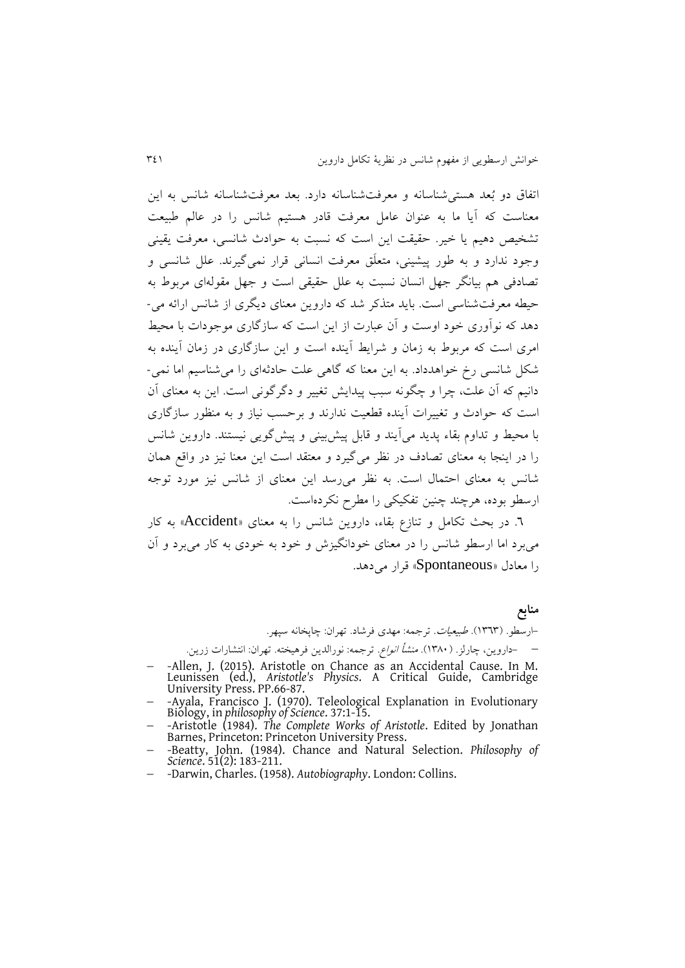اتفاق دو بُعد هستیشناسانه و معرفتشناسانه دارد. بعد معرفتشناسانه شانس به اين معناست که آيا ما به عنوان عامل معرفت قادر هستیم شانس را در عالم طبیعت تشخیص دهیم يا خیر. حقیقت اين است که نسبت به حوادث شانسی، معرفت يقینی وجود ندارد و به طور پیشینی، متعلَق معرفت انسانی قرار نمیریرند. علل شانسی و تصادفی هم بیانگر جهل انسان نسبت به علل حقیقی است و جهل مقولهای مربوط به حیطه معرفتشناسی است. بايد متذکر شد که داروين معنای ديگری از شانس ارائه می- دهد که نوآوری خود اوست و آن عبارت از اين است که سازراری موجودات با محیط امری است که مربوط به زمان و شرايط آينده است و اين سازراری در زمان آينده به شکل شانسی رخ خواهدداد. به اين معنا که راهی علت حادثهای را میشناسیم اما نمی- دانیم که آن علت، چرا و چگونه سبب پیدایش تغییر و دگرگونی است. این به معنای آن است که حوادث و تغییرات آينده قطعیت ندارند و برحسب نیاز و به منظور سازراری با محیط و تداوم بقاء پديد میآيند و قابل پیشبینی و پیشرويی نیستند. داروين شانس را در اينجا به معناى تصادف در نظر مى گيرد و معتقد است اين معنا نيز در واقع همان شانس به معنای احتمال است. به نظر میرسد اين معنای از شانس نیز مورد توجه ارسطو بوده، هرچند چنین تفکیکی را مطرح نکردهاست.

.3 در بحث تکامل و تناز بقاء، داروين شانس را به معنای »Accident »به کار میبرد اما ارسطو شانس را در معنای خودانگیزش و خود به خودی به کار میبرد و آن را معادل »Spontaneous »قرار میدهد.

> **منابع** -ارسطو. )1636(. طبیعیات. ترجمه: مهدی فرشاد. تهران: چاپخانه سپهر. – حاروين، چارلز. (١٣٨٠). *منشأ انواع.* ترجمه: نورالدين فرهيخته. تهران: انتشارات زرين.

- -Allen, J. (2015). Aristotle on Chance as an Accidental Cause. In M. Leunissen (ed.), *Aristotle's Physics*. A Critical Guide, Cambridge University Press. PP.66-87.
- -Ayala, Francisco J. (1970). Teleological Explanation in Evolutionary Biology, in *philosophy of Science*. 37:1-15.
- -Aristotle (1984). *The Complete Works of Aristotle*. Edited by Jonathan Barnes, Princeton: Princeton University Press.
- -Beatty, John. (1984). Chance and Natural Selection. *Philosophy of Science*. 51(2): 183-211.
- -Darwin, Charles. (1958). *Autobiography*. London: Collins.